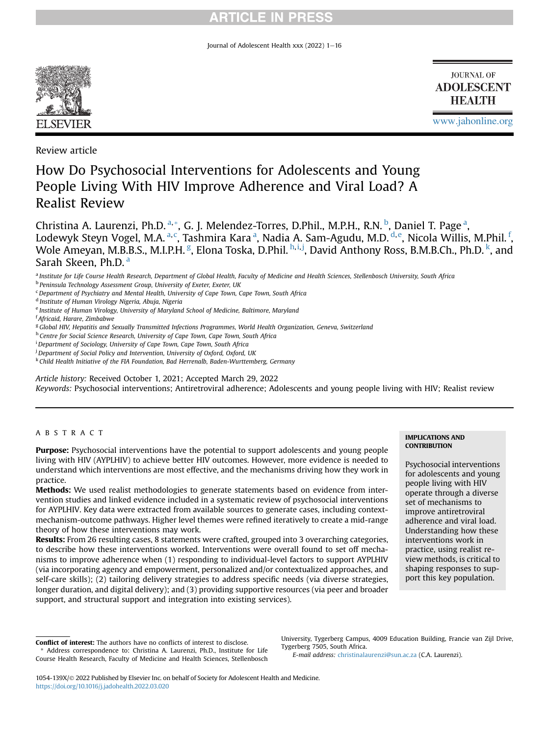Journal of Adolescent Health xxx  $(2022)$  1-16



**JOURNAL OF ADOLESCENT HEALTH** 

[www.jahonline.org](http://www.jahonline.org)

Review article

# How Do Psychosocial Interventions for Adolescents and Young People Living With HIV Improve Adherence and Viral Load? A Realist Review

Christin[a](#page-0-0) A. Laurenzi, Ph.D. <sup>a, [\\*](#page-0-1)</sup>, G. J. Melendez-Torres, D.Phil., M.P.H., R.N. <sup>[b](#page-0-2)</sup>, Daniel T. Page <sup>a</sup>, Lodewyk Steyn Vogel, M.A. <sup>[a,](#page-0-0) [c](#page-0-3)</sup>, T[a](#page-0-0)shmira Kara <sup>a</sup>, Nadia A. Sam-Agudu, M.D. <sup>[d,](#page-0-4) [e](#page-0-5)</sup>, Nicola Willis, M.Phil. <sup>[f](#page-0-6)</sup>, Wole Ameyan, M.B.B.S., M.I.P.H. <sup>[g](#page-0-7)</sup>, Elona Toska, D.Phil. <sup>[h,](#page-0-8)[i,](#page-0-9)[j](#page-0-10)</sup>, David Anthony Ross, B.M.B.Ch., Ph.D. <sup>[k](#page-0-11)</sup>, and Sarah Skeen, Ph.D. [a](#page-0-0)

<span id="page-0-0"></span>a Institute for Life Course Health Research, Department of Global Health, Faculty of Medicine and Health Sciences, Stellenbosch University, South Africa

<span id="page-0-3"></span><sup>c</sup> Department of Psychiatry and Mental Health, University of Cape Town, Cape Town, South Africa

<span id="page-0-8"></span>h Centre for Social Science Research, University of Cape Town, Cape Town, South Africa

<span id="page-0-9"></span><sup>i</sup> Department of Sociology, University of Cape Town, Cape Town, South Africa

Article history: Received October 1, 2021; Accepted March 29, 2022

Keywords: Psychosocial interventions; Antiretroviral adherence; Adolescents and young people living with HIV; Realist review

## ABSTRACT

Purpose: Psychosocial interventions have the potential to support adolescents and young people living with HIV (AYPLHIV) to achieve better HIV outcomes. However, more evidence is needed to understand which interventions are most effective, and the mechanisms driving how they work in practice.

Methods: We used realist methodologies to generate statements based on evidence from intervention studies and linked evidence included in a systematic review of psychosocial interventions for AYPLHIV. Key data were extracted from available sources to generate cases, including contextmechanism-outcome pathways. Higher level themes were refined iteratively to create a mid-range theory of how these interventions may work.

Results: From 26 resulting cases, 8 statements were crafted, grouped into 3 overarching categories, to describe how these interventions worked. Interventions were overall found to set off mechanisms to improve adherence when (1) responding to individual-level factors to support AYPLHIV (via incorporating agency and empowerment, personalized and/or contextualized approaches, and self-care skills); (2) tailoring delivery strategies to address specific needs (via diverse strategies, longer duration, and digital delivery); and (3) providing supportive resources (via peer and broader support, and structural support and integration into existing services).

University, Tygerberg Campus, 4009 Education Building, Francie van Zijl Drive, Tygerberg 7505, South Africa.

E-mail address: [christinalaurenzi@sun.ac.za](mailto:christinalaurenzi@sun.ac.za) (C.A. Laurenzi).

## IMPLICATIONS AND **CONTRIBUTION**

Psychosocial interventions for adolescents and young people living with HIV operate through a diverse set of mechanisms to improve antiretroviral adherence and viral load. Understanding how these interventions work in practice, using realist review methods, is critical to shaping responses to support this key population.

<span id="page-0-2"></span><sup>b</sup> Peninsula Technology Assessment Group, University of Exeter, Exeter, UK

<span id="page-0-4"></span><sup>d</sup> Institute of Human Virology Nigeria, Abuja, Nigeria

<span id="page-0-5"></span><sup>e</sup> Institute of Human Virology, University of Maryland School of Medicine, Baltimore, Maryland

<span id="page-0-6"></span><sup>&</sup>lt;sup>f</sup> Africaid, Harare, Zimbabwe

<span id="page-0-7"></span><sup>&</sup>lt;sup>g</sup> Global HIV, Hepatitis and Sexually Transmitted Infections Programmes, World Health Organization, Geneva, Switzerland

<span id="page-0-10"></span><sup>&</sup>lt;sup>j</sup> Department of Social Policy and Intervention, University of Oxford, Oxford, UK

<span id="page-0-11"></span><sup>k</sup> Child Health Initiative of the FIA Foundation, Bad Herrenalb, Baden-Wurttemberg, Germany

<span id="page-0-1"></span>Conflict of interest: The authors have no conflicts of interest to disclose. \* Address correspondence to: Christina A. Laurenzi, Ph.D., Institute for Life Course Health Research, Faculty of Medicine and Health Sciences, Stellenbosch

<sup>1054-139</sup>X/© 2022 Published by Elsevier Inc. on behalf of Society for Adolescent Health and Medicine. <https://doi.org/10.1016/j.jadohealth.2022.03.020>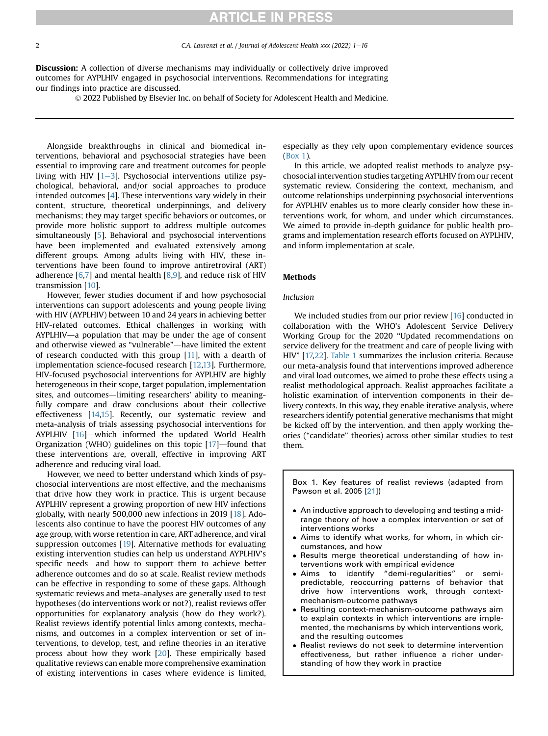2 C.A. Laurenzi et al. / Journal of Adolescent Health xxx (2022) 1–16

**Discussion:** A collection of diverse mechanisms may individually or collectively drive improved outcomes for AYPLHIV engaged in psychosocial interventions. Recommendations for integrating our findings into practice are discussed.

2022 Published by Elsevier Inc. on behalf of Society for Adolescent Health and Medicine.

Alongside breakthroughs in clinical and biomedical interventions, behavioral and psychosocial strategies have been essential to improving care and treatment outcomes for people living with HIV  $[1-3]$  $[1-3]$  $[1-3]$  $[1-3]$ . Psychosocial interventions utilize psychological, behavioral, and/or social approaches to produce intended outcomes [[4\]](#page-13-1). These interventions vary widely in their content, structure, theoretical underpinnings, and delivery mechanisms; they may target specific behaviors or outcomes, or provide more holistic support to address multiple outcomes simultaneously [\[5\]](#page-13-2). Behavioral and psychosocial interventions have been implemented and evaluated extensively among different groups. Among adults living with HIV, these interventions have been found to improve antiretroviral (ART) adherence  $[6,7]$  $[6,7]$  and mental health  $[8,9]$  $[8,9]$  $[8,9]$ , and reduce risk of HIV transmission [[10\]](#page-13-7).

However, fewer studies document if and how psychosocial interventions can support adolescents and young people living with HIV (AYPLHIV) between 10 and 24 years in achieving better HIV-related outcomes. Ethical challenges in working with  $AYPLHIV$ —a population that may be under the age of consent and otherwise viewed as "vulnerable"—have limited the extent of research conducted with this group [[11](#page-14-0)], with a dearth of implementation science-focused research [[12,](#page-14-1)[13](#page-14-2)]. Furthermore, HIV-focused psychosocial interventions for AYPLHIV are highly heterogeneous in their scope, target population, implementation sites, and outcomes—limiting researchers' ability to meaningfully compare and draw conclusions about their collective effectiveness [[14,](#page-14-3)[15\]](#page-14-4). Recently, our systematic review and meta-analysis of trials assessing psychosocial interventions for AYPLHIV  $[16]$  $[16]$ —which informed the updated World Health Organization (WHO) guidelines on this topic  $[17]$  $[17]$ —found that these interventions are, overall, effective in improving ART adherence and reducing viral load.

However, we need to better understand which kinds of psychosocial interventions are most effective, and the mechanisms that drive how they work in practice. This is urgent because AYPLHIV represent a growing proportion of new HIV infections globally, with nearly 500,000 new infections in 2019 [\[18\]](#page-14-7). Adolescents also continue to have the poorest HIV outcomes of any age group, with worse retention in care, ART adherence, and viral suppression outcomes [[19\]](#page-14-8). Alternative methods for evaluating existing intervention studies can help us understand AYPLHIV's specific needs—and how to support them to achieve better adherence outcomes and do so at scale. Realist review methods can be effective in responding to some of these gaps. Although systematic reviews and meta-analyses are generally used to test hypotheses (do interventions work or not?), realist reviews offer opportunities for explanatory analysis (how do they work?). Realist reviews identify potential links among contexts, mechanisms, and outcomes in a complex intervention or set of interventions, to develop, test, and refine theories in an iterative process about how they work [[20](#page-14-9)]. These empirically based qualitative reviews can enable more comprehensive examination of existing interventions in cases where evidence is limited, especially as they rely upon complementary evidence sources (Box 1).

In this article, we adopted realist methods to analyze psychosocial intervention studies targeting AYPLHIV from our recent systematic review. Considering the context, mechanism, and outcome relationships underpinning psychosocial interventions for AYPLHIV enables us to more clearly consider how these interventions work, for whom, and under which circumstances. We aimed to provide in-depth guidance for public health programs and implementation research efforts focused on AYPLHIV, and inform implementation at scale.

#### Methods

## Inclusion

We included studies from our prior review [\[16](#page-14-5)] conducted in collaboration with the WHO's Adolescent Service Delivery Working Group for the 2020 "Updated recommendations on service delivery for the treatment and care of people living with HIV" [[17,](#page-14-6)[22](#page-14-10)]. [Table 1](#page-2-0) summarizes the inclusion criteria. Because our meta-analysis found that interventions improved adherence and viral load outcomes, we aimed to probe these effects using a realist methodological approach. Realist approaches facilitate a holistic examination of intervention components in their delivery contexts. In this way, they enable iterative analysis, where researchers identify potential generative mechanisms that might be kicked off by the intervention, and then apply working theories ("candidate" theories) across other similar studies to test them.

Box 1. Key features of realist reviews (adapted from Pawson et al. 2005 [\[21](#page-14-11)])

- An inductive approach to developing and testing a midrange theory of how a complex intervention or set of interventions works
- Aims to identify what works, for whom, in which circumstances, and how
- Results merge theoretical understanding of how interventions work with empirical evidence
- Aims to identify "demi-regularities" or semipredictable, reoccurring patterns of behavior that drive how interventions work, through contextmechanism-outcome pathways
- Resulting context-mechanism-outcome pathways aim to explain contexts in which interventions are implemented, the mechanisms by which interventions work, and the resulting outcomes
- Realist reviews do not seek to determine intervention effectiveness, but rather influence a richer understanding of how they work in practice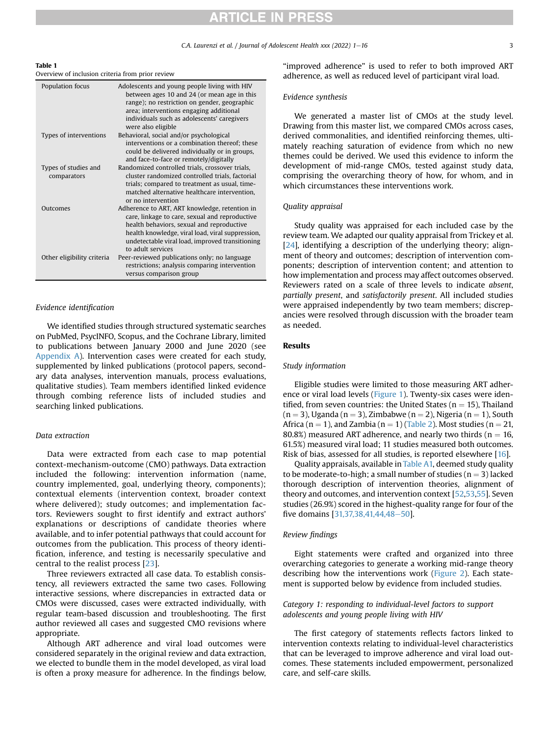$C.A.$  Laurenzi et al. / Journal of Adolescent Health xxx (2022)  $1-16$  3

#### <span id="page-2-0"></span>Table 1

### Overview of inclusion criteria from prior review

| Population focus                    | Adolescents and young people living with HIV<br>between ages 10 and 24 (or mean age in this<br>range); no restriction on gender, geographic<br>area; interventions engaging additional<br>individuals such as adolescents' caregivers<br>were also eligible              |
|-------------------------------------|--------------------------------------------------------------------------------------------------------------------------------------------------------------------------------------------------------------------------------------------------------------------------|
| Types of interventions              | Behavioral, social and/or psychological<br>interventions or a combination thereof; these<br>could be delivered individually or in groups,<br>and face-to-face or remotely/digitally                                                                                      |
| Types of studies and<br>comparators | Randomized controlled trials, crossover trials,<br>cluster randomized controlled trials, factorial<br>trials; compared to treatment as usual, time-<br>matched alternative healthcare intervention.<br>or no intervention                                                |
| Outcomes                            | Adherence to ART, ART knowledge, retention in<br>care, linkage to care, sexual and reproductive<br>health behaviors, sexual and reproductive<br>health knowledge, viral load, viral suppression,<br>undetectable viral load, improved transitioning<br>to adult services |
| Other eligibility criteria          | Peer-reviewed publications only; no language<br>restrictions; analysis comparing intervention<br>versus comparison group                                                                                                                                                 |

### Evidence identification

We identified studies through structured systematic searches on PubMed, PsycINFO, Scopus, and the Cochrane Library, limited to publications between January 2000 and June 2020 (see Appendix A). Intervention cases were created for each study, supplemented by linked publications (protocol papers, secondary data analyses, intervention manuals, process evaluations, qualitative studies). Team members identified linked evidence through combing reference lists of included studies and searching linked publications.

### Data extraction

Data were extracted from each case to map potential context-mechanism-outcome (CMO) pathways. Data extraction included the following: intervention information (name, country implemented, goal, underlying theory, components); contextual elements (intervention context, broader context where delivered); study outcomes; and implementation factors. Reviewers sought to first identify and extract authors' explanations or descriptions of candidate theories where available, and to infer potential pathways that could account for outcomes from the publication. This process of theory identification, inference, and testing is necessarily speculative and central to the realist process [[23\]](#page-14-12).

Three reviewers extracted all case data. To establish consistency, all reviewers extracted the same two cases. Following interactive sessions, where discrepancies in extracted data or CMOs were discussed, cases were extracted individually, with regular team-based discussion and troubleshooting. The first author reviewed all cases and suggested CMO revisions where appropriate.

Although ART adherence and viral load outcomes were considered separately in the original review and data extraction, we elected to bundle them in the model developed, as viral load is often a proxy measure for adherence. In the findings below, "improved adherence" is used to refer to both improved ART adherence, as well as reduced level of participant viral load.

#### Evidence synthesis

We generated a master list of CMOs at the study level. Drawing from this master list, we compared CMOs across cases, derived commonalities, and identified reinforcing themes, ultimately reaching saturation of evidence from which no new themes could be derived. We used this evidence to inform the development of mid-range CMOs, tested against study data, comprising the overarching theory of how, for whom, and in which circumstances these interventions work.

#### Quality appraisal

Study quality was appraised for each included case by the review team. We adapted our quality appraisal from Trickey et al. [[24\]](#page-14-13), identifying a description of the underlying theory; alignment of theory and outcomes; description of intervention components; description of intervention content; and attention to how implementation and process may affect outcomes observed. Reviewers rated on a scale of three levels to indicate absent, partially present, and satisfactorily present. All included studies were appraised independently by two team members; discrepancies were resolved through discussion with the broader team as needed.

### Results

### Study information

Eligible studies were limited to those measuring ART adherence or viral load levels [\(Figure 1](#page-10-0)). Twenty-six cases were identified, from seven countries: the United States ( $n = 15$ ), Thailand  $(n = 3)$ , Uganda  $(n = 3)$ , Zimbabwe  $(n = 2)$ , Nigeria  $(n = 1)$ , South Africa (n = 1), and Zambia (n = 1) [\(Table 2\)](#page-3-0). Most studies (n = 21, 80.8%) measured ART adherence, and nearly two thirds ( $n = 16$ , 61.5%) measured viral load; 11 studies measured both outcomes. Risk of bias, assessed for all studies, is reported elsewhere [\[16](#page-14-5)].

Quality appraisals, available in Table A1, deemed study quality to be moderate-to-high; a small number of studies  $(n = 3)$  lacked thorough description of intervention theories, alignment of theory and outcomes, and intervention context [\[52,](#page-14-14)[53](#page-14-15)[,55\]](#page-14-16). Seven studies (26.9%) scored in the highest-quality range for four of the five domains  $[31,37,38,41,44,48-50]$  $[31,37,38,41,44,48-50]$  $[31,37,38,41,44,48-50]$  $[31,37,38,41,44,48-50]$  $[31,37,38,41,44,48-50]$ .

### Review findings

Eight statements were crafted and organized into three overarching categories to generate a working mid-range theory describing how the interventions work ([Figure 2](#page-11-0)). Each statement is supported below by evidence from included studies.

### Category 1: responding to individual-level factors to support adolescents and young people living with HIV

The first category of statements reflects factors linked to intervention contexts relating to individual-level characteristics that can be leveraged to improve adherence and viral load outcomes. These statements included empowerment, personalized care, and self-care skills.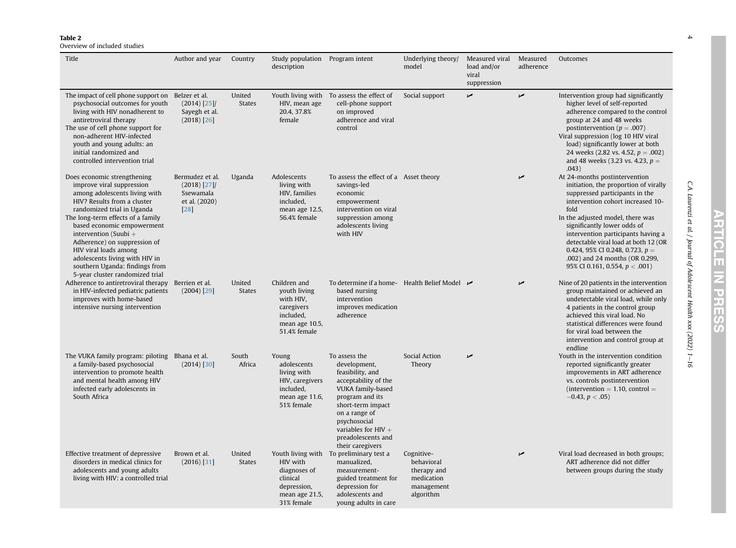<span id="page-3-0"></span>Overview of included studies

| Title                                                                                                                                                                                                                                                                                                                                                                                                                | Author and year                                                           | Country                 | Study population Program intent<br>description                                                         |                                                                                                                                                                                                                        | Underlying theory/<br>model                                                      | Measured viral<br>load and/or<br>viral<br>suppression | Measured<br>adherence | Outcomes                                                                                                                                                                                                                                                                                                                                                                                                           |
|----------------------------------------------------------------------------------------------------------------------------------------------------------------------------------------------------------------------------------------------------------------------------------------------------------------------------------------------------------------------------------------------------------------------|---------------------------------------------------------------------------|-------------------------|--------------------------------------------------------------------------------------------------------|------------------------------------------------------------------------------------------------------------------------------------------------------------------------------------------------------------------------|----------------------------------------------------------------------------------|-------------------------------------------------------|-----------------------|--------------------------------------------------------------------------------------------------------------------------------------------------------------------------------------------------------------------------------------------------------------------------------------------------------------------------------------------------------------------------------------------------------------------|
| The impact of cell phone support on Belzer et al.<br>psychosocial outcomes for youth<br>living with HIV nonadherent to<br>antiretroviral therapy<br>The use of cell phone support for<br>non-adherent HIV-infected<br>youth and young adults: an<br>initial randomized and<br>controlled intervention trial                                                                                                          | $(2014)$ [25]/<br>Sayegh et al.<br>$(2018)$ [26]                          | United<br><b>States</b> | HIV, mean age<br>20.4, 37.8%<br>female                                                                 | Youth living with To assess the effect of<br>cell-phone support<br>on improved<br>adherence and viral<br>control                                                                                                       | Social support                                                                   | مما                                                   | v                     | Intervention group had significantly<br>higher level of self-reported<br>adherence compared to the control<br>group at 24 and 48 weeks<br>postintervention ( $p = .007$ )<br>Viral suppression (log 10 HIV viral<br>load) significantly lower at both<br>24 weeks (2.82 vs. 4.52, $p = .002$ )<br>and 48 weeks (3.23 vs. 4.23, $p =$<br>.043)                                                                      |
| Does economic strengthening<br>improve viral suppression<br>among adolescents living with<br>HIV? Results from a cluster<br>randomized trial in Uganda<br>The long-term effects of a family<br>based economic empowerment<br>intervention (Suubi $+$<br>Adherence) on suppression of<br>HIV viral loads among<br>adolescents living with HIV in<br>southern Uganda: findings from<br>5-year cluster randomized trial | Bermudez et al.<br>$(2018)$ [27]/<br>Ssewamala<br>et al. (2020)<br>$[28]$ | Uganda                  | Adolescents<br>living with<br>HIV, families<br>included,<br>mean age 12.5,<br>56.4% female             | To assess the effect of a Asset theory<br>savings-led<br>economic<br>empowerment<br>intervention on viral<br>suppression among<br>adolescents living<br>with HIV                                                       |                                                                                  |                                                       | مما                   | At 24-months postintervention<br>initiation, the proportion of virally<br>suppressed participants in the<br>intervention cohort increased 10-<br>fold<br>In the adjusted model, there was<br>significantly lower odds of<br>intervention participants having a<br>detectable viral load at both 12 (OR<br>0.424, 95% CI 0.248, 0.723, $p =$<br>.002) and 24 months (OR 0.299,<br>95% CI 0.161, 0.554, $p < .001$ ) |
| Adherence to antiretroviral therapy<br>in HIV-infected pediatric patients<br>improves with home-based<br>intensive nursing intervention                                                                                                                                                                                                                                                                              | Berrien et al.<br>$(2004)$ [29]                                           | United<br><b>States</b> | Children and<br>youth living<br>with HIV,<br>caregivers<br>included.<br>mean age 10.5,<br>51.4% female | To determine if a home- Health Belief Model $\rightarrow$<br>based nursing<br>intervention<br>improves medication<br>adherence                                                                                         |                                                                                  |                                                       | مما                   | Nine of 20 patients in the intervention<br>group maintained or achieved an<br>undetectable viral load, while only<br>4 patients in the control group<br>achieved this viral load. No<br>statistical differences were found<br>for viral load between the<br>intervention and control group at<br>endline                                                                                                           |
| The VUKA family program: piloting Bhana et al.<br>a family-based psychosocial<br>intervention to promote health<br>and mental health among HIV<br>infected early adolescents in<br>South Africa                                                                                                                                                                                                                      | $(2014)$ [30]                                                             | South<br>Africa         | Young<br>adolescents<br>living with<br>HIV, caregivers<br>included.<br>mean age 11.6,<br>51% female    | To assess the<br>development,<br>feasibility, and<br>acceptability of the<br>VUKA family-based<br>program and its<br>short-term impact<br>on a range of<br>psychosocial<br>variables for HIV $+$<br>preadolescents and | Social Action<br>Theory                                                          | مما                                                   |                       | Youth in the intervention condition<br>reported significantly greater<br>improvements in ART adherence<br>vs. controls postintervention<br>$intervention = 1.10$ , control =<br>$-0.43, p < .05$ )                                                                                                                                                                                                                 |
| Effective treatment of depressive<br>disorders in medical clinics for<br>adolescents and young adults<br>living with HIV: a controlled trial                                                                                                                                                                                                                                                                         | Brown et al.<br>$(2016)$ [31]                                             | United<br><b>States</b> | HIV with<br>diagnoses of<br>clinical<br>depression,<br>mean age 21.5,<br>31% female                    | their caregivers<br>Youth living with To preliminary test a<br>manualized,<br>measurement-<br>guided treatment for<br>depression for<br>adolescents and<br>young adults in care                                        | Cognitive-<br>behavioral<br>therapy and<br>medication<br>management<br>algorithm |                                                       | مما                   | Viral load decreased in both groups;<br>ART adherence did not differ<br>between groups during the study                                                                                                                                                                                                                                                                                                            |

**ARTICLE IN PRESS** 

C.A. Laurenzi et al. / Journal of Adolescent Health xxx (2022) 1

 $-l$ 

 $\blacktriangle$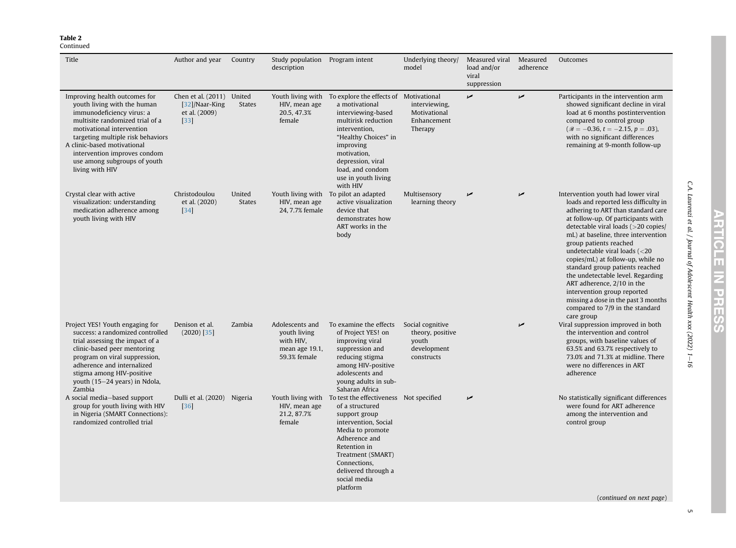#### Continued

| Title                                                                                                                                                                                                                                                                                                            | Author and year                                                        | Country                 | Study population Program intent<br>description                                 |                                                                                                                                                                                                                                                                          | Underlying theory/<br>model                                                | Measured viral<br>load and/or<br>viral<br>suppression | Measured<br>adherence | Outcomes                                                                                                                                                                                                                                                                                                                                                                                                                                                                                                                                                                            |
|------------------------------------------------------------------------------------------------------------------------------------------------------------------------------------------------------------------------------------------------------------------------------------------------------------------|------------------------------------------------------------------------|-------------------------|--------------------------------------------------------------------------------|--------------------------------------------------------------------------------------------------------------------------------------------------------------------------------------------------------------------------------------------------------------------------|----------------------------------------------------------------------------|-------------------------------------------------------|-----------------------|-------------------------------------------------------------------------------------------------------------------------------------------------------------------------------------------------------------------------------------------------------------------------------------------------------------------------------------------------------------------------------------------------------------------------------------------------------------------------------------------------------------------------------------------------------------------------------------|
| Improving health outcomes for<br>youth living with the human<br>immunodeficiency virus: a<br>multisite randomized trial of a<br>motivational intervention<br>targeting multiple risk behaviors<br>A clinic-based motivational<br>intervention improves condom<br>use among subgroups of youth<br>living with HIV | Chen et al. (2011) United<br>[32]/Naar-King<br>et al. (2009)<br>$[33]$ | <b>States</b>           | HIV, mean age<br>20.5, 47.3%<br>female                                         | Youth living with To explore the effects of Motivational<br>a motivational<br>interviewing-based<br>multirisk reduction<br>intervention.<br>"Healthy Choices" in<br>improving<br>motivation,<br>depression, viral<br>load, and condom<br>use in youth living<br>with HIV | interviewing,<br>Motivational<br>Enhancement<br>Therapy                    | مما                                                   | $\overline{a}$        | Participants in the intervention arm<br>showed significant decline in viral<br>load at 6 months postintervention<br>compared to control group<br>$(\mathscr{B} = -0.36, t = -2.15, p = .03),$<br>with no significant differences<br>remaining at 9-month follow-up                                                                                                                                                                                                                                                                                                                  |
| Crystal clear with active<br>visualization: understanding<br>medication adherence among<br>youth living with HIV                                                                                                                                                                                                 | Christodoulou<br>et al. (2020)<br>[34]                                 | United<br><b>States</b> | HIV, mean age<br>24, 7.7% female                                               | Youth living with To pilot an adapted<br>active visualization<br>device that<br>demonstrates how<br>ART works in the<br>body                                                                                                                                             | Multisensory<br>learning theory                                            | مما                                                   | مما                   | Intervention youth had lower viral<br>loads and reported less difficulty in<br>adhering to ART than standard care<br>at follow-up. Of participants with<br>detectable viral loads (>20 copies/<br>mL) at baseline, three intervention<br>group patients reached<br>undetectable viral loads $\left( < 20 \right)$<br>copies/mL) at follow-up, while no<br>standard group patients reached<br>the undetectable level. Regarding<br>ART adherence, 2/10 in the<br>intervention group reported<br>missing a dose in the past 3 months<br>compared to 7/9 in the standard<br>care group |
| Project YES! Youth engaging for<br>success: a randomized controlled<br>trial assessing the impact of a<br>clinic-based peer mentoring<br>program on viral suppression,<br>adherence and internalized<br>stigma among HIV-positive<br>youth (15-24 years) in Ndola,<br>Zambia                                     | Denison et al.<br>$(2020)$ [35]                                        | Zambia                  | Adolescents and<br>youth living<br>with HIV,<br>mean age 19.1,<br>59.3% female | To examine the effects<br>of Project YES! on<br>improving viral<br>suppression and<br>reducing stigma<br>among HIV-positive<br>adolescents and<br>young adults in sub-<br>Saharan Africa                                                                                 | Social cognitive<br>theory, positive<br>youth<br>development<br>constructs |                                                       | مما                   | Viral suppression improved in both<br>the intervention and control<br>groups, with baseline values of<br>63.5% and 63.7% respectively to<br>73.0% and 71.3% at midline. There<br>were no differences in ART<br>adherence                                                                                                                                                                                                                                                                                                                                                            |
| A social media-based support<br>group for youth living with HIV<br>in Nigeria (SMART Connections):<br>randomized controlled trial                                                                                                                                                                                | Dulli et al. (2020) Nigeria<br>[36]                                    |                         | HIV, mean age<br>21.2, 87.7%<br>female                                         | Youth living with To test the effectiveness Not specified<br>of a structured<br>support group<br>intervention, Social<br>Media to promote<br>Adherence and<br>Retention in<br>Treatment (SMART)<br>Connections,<br>delivered through a<br>social media<br>platform       |                                                                            | مما                                                   |                       | No statistically significant differences<br>were found for ART adherence<br>among the intervention and<br>control group                                                                                                                                                                                                                                                                                                                                                                                                                                                             |

C.A. Laurenzi et al. / Journal of Adolescent Health xxx (2022) 1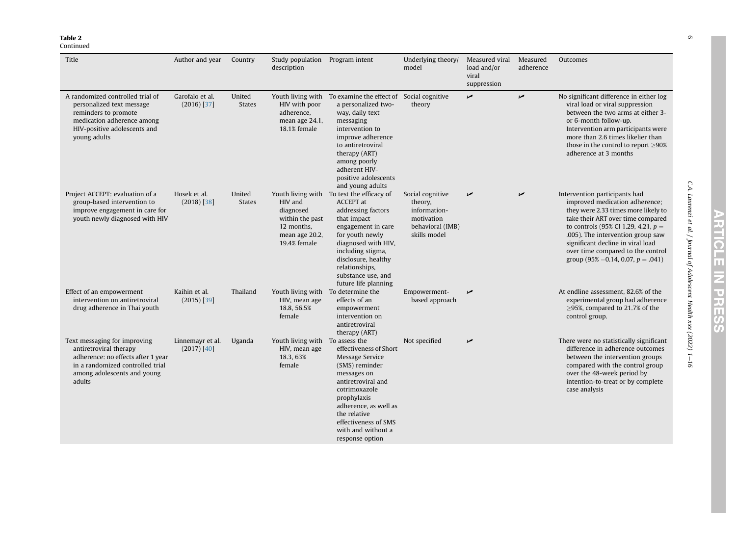### Continued

| Title                                                                                                                                                                     | Author and year                   | Country                 | Study population Program intent<br>description                                          |                                                                                                                                                                                                                                                                                | Underlying theory/<br>model                                                                   | Measured viral<br>load and/or<br>viral<br>suppression | Measured<br>adherence | Outcomes                                                                                                                                                                                                                                                                                                                                    |
|---------------------------------------------------------------------------------------------------------------------------------------------------------------------------|-----------------------------------|-------------------------|-----------------------------------------------------------------------------------------|--------------------------------------------------------------------------------------------------------------------------------------------------------------------------------------------------------------------------------------------------------------------------------|-----------------------------------------------------------------------------------------------|-------------------------------------------------------|-----------------------|---------------------------------------------------------------------------------------------------------------------------------------------------------------------------------------------------------------------------------------------------------------------------------------------------------------------------------------------|
| A randomized controlled trial of<br>personalized text message<br>reminders to promote<br>medication adherence among<br>HIV-positive adolescents and<br>young adults       | Garofalo et al.<br>$(2016)$ [37]  | United<br><b>States</b> | Youth living with<br>HIV with poor<br>adherence,<br>mean age 24.1,<br>18.1% female      | To examine the effect of Social cognitive<br>a personalized two-<br>way, daily text<br>messaging<br>intervention to<br>improve adherence<br>to antiretroviral<br>therapy (ART)<br>among poorly<br>adherent HIV-<br>positive adolescents<br>and young adults                    | theory                                                                                        | مما                                                   | $\overline{a}$        | No significant difference in either log<br>viral load or viral suppression<br>between the two arms at either 3-<br>or 6-month follow-up.<br>Intervention arm participants were<br>more than 2.6 times likelier than<br>those in the control to report >90%<br>adherence at 3 months                                                         |
| Project ACCEPT: evaluation of a<br>group-based intervention to<br>improve engagement in care for<br>youth newly diagnosed with HIV                                        | Hosek et al.<br>$(2018)$ [38]     | United<br><b>States</b> | HIV and<br>diagnosed<br>within the past<br>12 months,<br>mean age 20.2,<br>19.4% female | Youth living with To test the efficacy of<br><b>ACCEPT</b> at<br>addressing factors<br>that impact<br>engagement in care<br>for youth newly<br>diagnosed with HIV,<br>including stigma,<br>disclosure, healthy<br>relationships,<br>substance use, and<br>future life planning | Social cognitive<br>theory,<br>information-<br>motivation<br>behavioral (IMB)<br>skills model | مما                                                   | $\sqrt{ }$            | Intervention participants had<br>improved medication adherence;<br>they were 2.33 times more likely to<br>take their ART over time compared<br>to controls (95% CI 1.29, 4.21, $p =$<br>.005). The intervention group saw<br>significant decline in viral load<br>over time compared to the control<br>group (95% -0.14, 0.07, $p = .041$ ) |
| Effect of an empowerment<br>intervention on antiretroviral<br>drug adherence in Thai youth                                                                                | Kaihin et al.<br>$(2015)$ [39]    | Thailand                | HIV, mean age<br>18.8, 56.5%<br>female                                                  | Youth living with To determine the<br>effects of an<br>empowerment<br>intervention on<br>antiretroviral<br>therapy (ART)                                                                                                                                                       | Empowerment-<br>based approach                                                                | "                                                     |                       | At endline assessment, 82.6% of the<br>experimental group had adherence<br>$\geq$ 95%, compared to 21.7% of the<br>control group.                                                                                                                                                                                                           |
| Text messaging for improving<br>antiretroviral therapy<br>adherence: no effects after 1 year<br>in a randomized controlled trial<br>among adolescents and young<br>adults | Linnemayr et al.<br>$(2017)$ [40] | Uganda                  | Youth living with To assess the<br>HIV, mean age<br>18.3, 63%<br>female                 | effectiveness of Short<br>Message Service<br>(SMS) reminder<br>messages on<br>antiretroviral and<br>cotrimoxazole<br>prophylaxis<br>adherence, as well as<br>the relative<br>effectiveness of SMS<br>with and without a<br>response option                                     | Not specified                                                                                 | مما                                                   |                       | There were no statistically significant<br>difference in adherence outcomes<br>between the intervention groups<br>compared with the control group<br>over the 48-week period by<br>intention-to-treat or by complete<br>case analysis                                                                                                       |

C.A. Laurenzi et al. / Journal of Adolescent Health xxx (2022) 1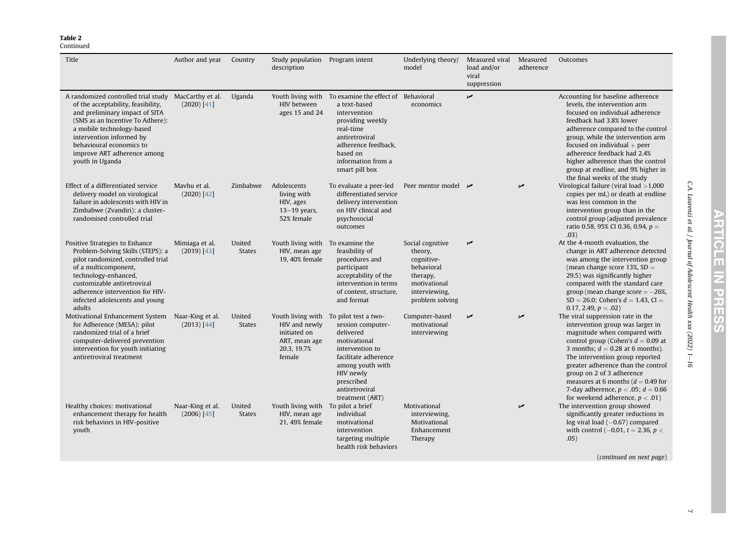## Continued

| Title                                                                                                                                                                                                                                                                                                   | Author and year                 | Country                 | Study population Program intent<br>description                                               |                                                                                                                                                                                                                     | Underlying theory/<br>model                                                                                             | Measured viral<br>load and/or<br>viral<br>suppression | Measured<br>adherence | Outcomes                                                                                                                                                                                                                                                                                                                                                                                                            |
|---------------------------------------------------------------------------------------------------------------------------------------------------------------------------------------------------------------------------------------------------------------------------------------------------------|---------------------------------|-------------------------|----------------------------------------------------------------------------------------------|---------------------------------------------------------------------------------------------------------------------------------------------------------------------------------------------------------------------|-------------------------------------------------------------------------------------------------------------------------|-------------------------------------------------------|-----------------------|---------------------------------------------------------------------------------------------------------------------------------------------------------------------------------------------------------------------------------------------------------------------------------------------------------------------------------------------------------------------------------------------------------------------|
| A randomized controlled trial study MacCarthy et al.<br>of the acceptability, feasibility,<br>and preliminary impact of SITA<br>(SMS as an Incentive To Adhere):<br>a mobile technology-based<br>intervention informed by<br>behavioural economics to<br>improve ART adherence among<br>youth in Uganda | $(2020)$ [41]                   | Uganda                  | HIV between<br>ages 15 and 24                                                                | Youth living with To examine the effect of Behavioral<br>a text-based<br>intervention<br>providing weekly<br>real-time<br>antiretroviral<br>adherence feedback,<br>based on<br>information from a<br>smart pill box | economics                                                                                                               | مما                                                   |                       | Accounting for baseline adherence<br>levels, the intervention arm<br>focused on individual adherence<br>feedback had 3.8% lower<br>adherence compared to the control<br>group, while the intervention arm<br>focused on individual $+$ peer<br>adherence feedback had 2.4%<br>higher adherence than the control<br>group at endline, and 9% higher in<br>the final weeks of the study                               |
| Effect of a differentiated service<br>delivery model on virological<br>failure in adolescents with HIV in<br>Zimbabwe (Zvandiri): a cluster-<br>randomised controlled trial                                                                                                                             | Mayhu et al.<br>(2020) [42]     | Zimbabwe                | Adolescents<br>living with<br>HIV, ages<br>$13-19$ years,<br>52% female                      | To evaluate a peer-led<br>differentiated service<br>delivery intervention<br>on HIV clinical and<br>psychosocial<br>outcomes                                                                                        | Peer mentor model $\overline{\phantom{a}}$                                                                              |                                                       | مما                   | Virological failure (viral load $>1,000$<br>copies per mL) or death at endline<br>was less common in the<br>intervention group than in the<br>control group (adjusted prevalence<br>ratio 0.58, 95% CI 0.36, 0.94, $p =$<br>.03)                                                                                                                                                                                    |
| Positive Strategies to Enhance<br>Problem-Solving Skills (STEPS): a<br>pilot randomized, controlled trial<br>of a multicomponent,<br>technology-enhanced,<br>customizable antiretroviral<br>adherence intervention for HIV-<br>infected adolescents and young<br>adults                                 | Mimiaga et al.<br>(2019) [43]   | United<br><b>States</b> | Youth living with To examine the<br>HIV, mean age<br>19, 40% female                          | feasibility of<br>procedures and<br>participant<br>acceptability of the<br>intervention in terms<br>of content, structure,<br>and format                                                                            | Social cognitive<br>theory,<br>cognitive-<br>behavioral<br>therapy,<br>motivational<br>interviewing,<br>problem solving | مما                                                   |                       | At the 4-month evaluation, the<br>change in ART adherence detected<br>was among the intervention group<br>(mean change score 13%, $SD =$<br>29.5) was significantly higher<br>compared with the standard care<br>group (mean change score $=-26\%$ ,<br>$SD = 26.0$ ; Cohen's $d = 1.43$ , CI =<br>0.17, 2.49, $p = .02$ )                                                                                          |
| Motivational Enhancement System Naar-King et al.<br>for Adherence (MESA): pilot<br>randomized trial of a brief<br>computer-delivered prevention<br>intervention for youth initiating<br>antiretroviral treatment                                                                                        | $(2013)$ [44]                   | United<br><b>States</b> | Youth living with<br>HIV and newly<br>initiated on<br>ART, mean age<br>20.3, 19.7%<br>female | To pilot test a two-<br>session computer-<br>delivered<br>motivational<br>intervention to<br>facilitate adherence<br>among youth with<br>HIV newly<br>prescribed<br>antiretroviral<br>treatment (ART)               | Computer-based<br>motivational<br>interviewing                                                                          | ✔                                                     | مما                   | The viral suppression rate in the<br>intervention group was larger in<br>magnitude when compared with<br>control group (Cohen's $d = 0.09$ at<br>3 months; $d = 0.28$ at 6 months).<br>The intervention group reported<br>greater adherence than the control<br>group on 2 of 3 adherence<br>measures at 6 months ( $d = 0.49$ for<br>7-day adherence, $p < .05$ ; $d = 0.66$<br>for weekend adherence, $p < .01$ ) |
| Healthy choices: motivational<br>enhancement therapy for health<br>risk behaviors in HIV-positive<br>youth                                                                                                                                                                                              | Naar-King et al.<br>(2006) [45] | United<br><b>States</b> | Youth living with To pilot a brief<br>HIV, mean age<br>21, 49% female                        | individual<br>motivational<br>intervention<br>targeting multiple<br>health risk behaviors                                                                                                                           | Motivational<br>interviewing,<br>Motivational<br>Enhancement<br>Therapy                                                 |                                                       | مما                   | The intervention group showed<br>significantly greater reductions in<br>$log$ viral load $(-0.67)$ compared<br>with control (-0.01, $t = 2.36$ , $p <$<br>.05)<br>(continued on next page)                                                                                                                                                                                                                          |

C.A. Laurenzi et al. / Journal of Adolescent Health xxx (2022) 1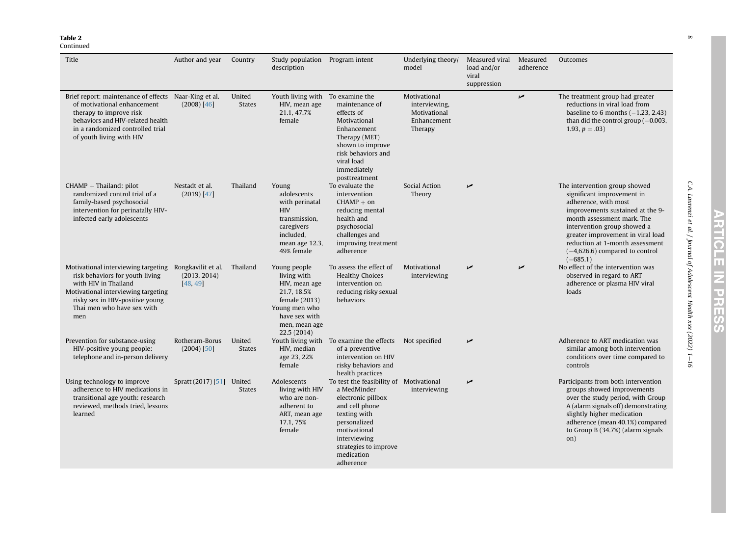## Continued

| Title                                                                                                                                                                                                                            | Author and year                 | Country                 | Study population Program intent<br>description                                                                                                 |                                                                                                                                                                                                                    | Underlying theory/<br>model                                             | Measured viral<br>load and/or<br>viral<br>suppression | Measured<br>adherence | Outcomes                                                                                                                                                                                                                                                                                                       |
|----------------------------------------------------------------------------------------------------------------------------------------------------------------------------------------------------------------------------------|---------------------------------|-------------------------|------------------------------------------------------------------------------------------------------------------------------------------------|--------------------------------------------------------------------------------------------------------------------------------------------------------------------------------------------------------------------|-------------------------------------------------------------------------|-------------------------------------------------------|-----------------------|----------------------------------------------------------------------------------------------------------------------------------------------------------------------------------------------------------------------------------------------------------------------------------------------------------------|
| Brief report: maintenance of effects Naar-King et al.<br>of motivational enhancement<br>therapy to improve risk<br>behaviors and HIV-related health<br>in a randomized controlled trial<br>of youth living with HIV              | $(2008)$ [46]                   | United<br><b>States</b> | Youth living with To examine the<br>HIV, mean age<br>21.1, 47.7%<br>female                                                                     | maintenance of<br>effects of<br>Motivational<br>Enhancement<br>Therapy (MET)<br>shown to improve<br>risk behaviors and<br>viral load<br>immediately<br>posttreatment                                               | Motivational<br>interviewing,<br>Motivational<br>Enhancement<br>Therapy |                                                       | $\overline{v}$        | The treatment group had greater<br>reductions in viral load from<br>baseline to 6 months $(-1.23, 2.43)$<br>than did the control group $(-0.003,$<br>1.93, $p = .03$ )                                                                                                                                         |
| $CHAMP + Thailand: pilot$<br>randomized control trial of a<br>family-based psychosocial<br>intervention for perinatally HIV-<br>infected early adolescents                                                                       | Nestadt et al.<br>(2019) [47]   | Thailand                | Young<br>adolescents<br>with perinatal<br><b>HIV</b><br>transmission,<br>caregivers<br>included,<br>mean age 12.3,<br>49% female               | To evaluate the<br>intervention<br>$CHAMP + on$<br>reducing mental<br>health and<br>psychosocial<br>challenges and<br>improving treatment<br>adherence                                                             | Social Action<br>Theory                                                 | مما                                                   |                       | The intervention group showed<br>significant improvement in<br>adherence, with most<br>improvements sustained at the 9-<br>month assessment mark. The<br>intervention group showed a<br>greater improvement in viral load<br>reduction at 1-month assessment<br>$(-4,626.6)$ compared to control<br>$(-685.1)$ |
| Motivational interviewing targeting Rongkavilit et al.<br>risk behaviors for youth living<br>with HIV in Thailand<br>Motivational interviewing targeting<br>risky sex in HIV-positive young<br>Thai men who have sex with<br>men | (2013, 2014)<br>[48, 49]        | Thailand                | Young people<br>living with<br>HIV, mean age<br>21.7, 18.5%<br>female (2013)<br>Young men who<br>have sex with<br>men, mean age<br>22.5 (2014) | To assess the effect of<br><b>Healthy Choices</b><br>intervention on<br>reducing risky sexual<br>behaviors                                                                                                         | Motivational<br>interviewing                                            |                                                       | $\overline{v}$        | No effect of the intervention was<br>observed in regard to ART<br>adherence or plasma HIV viral<br>loads                                                                                                                                                                                                       |
| Prevention for substance-using<br>HIV-positive young people:<br>telephone and in-person delivery                                                                                                                                 | Rotheram-Borus<br>$(2004)$ [50] | United<br><b>States</b> | HIV, median<br>age 23, 22%<br>female                                                                                                           | Youth living with To examine the effects<br>of a preventive<br>intervention on HIV<br>risky behaviors and<br>health practices                                                                                      | Not specified                                                           | مما                                                   |                       | Adherence to ART medication was<br>similar among both intervention<br>conditions over time compared to<br>controls                                                                                                                                                                                             |
| Using technology to improve<br>adherence to HIV medications in<br>transitional age youth: research<br>reviewed, methods tried, lessons<br>learned                                                                                | Spratt (2017) [51] United       | <b>States</b>           | Adolescents<br>living with HIV<br>who are non-<br>adherent to<br>ART, mean age<br>17.1, 75%<br>female                                          | To test the feasibility of Motivational<br>a MedMinder<br>electronic pillbox<br>and cell phone<br>texting with<br>personalized<br>motivational<br>interviewing<br>strategies to improve<br>medication<br>adherence | interviewing                                                            | مما                                                   |                       | Participants from both intervention<br>groups showed improvements<br>over the study period, with Group<br>A (alarm signals off) demonstrating<br>slightly higher medication<br>adherence (mean 40.1%) compared<br>to Group B (34.7%) (alarm signals<br>on)                                                     |

**ARTICLE IN PRESS** 

C.A. Laurenzi et al. / Journal of Adolescent Health xxx (2022) 1

 $-l$ 

 $\infty$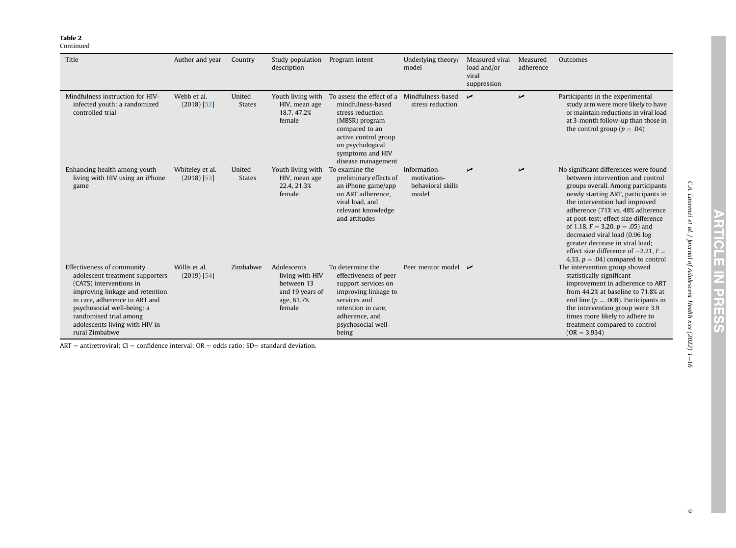#### Continued

| Title                                                                                                                                                                                                                                                                    | Author and year                  | Country                 | Study population<br>description                                                         | Program intent                                                                                                                                                                               | Underlying theory/<br>model                               | Measured viral<br>load and/or<br>viral<br>suppression | Measured<br>adherence | Outcomes                                                                                                                                                                                                                                                                                                                                                                                                                                                                |
|--------------------------------------------------------------------------------------------------------------------------------------------------------------------------------------------------------------------------------------------------------------------------|----------------------------------|-------------------------|-----------------------------------------------------------------------------------------|----------------------------------------------------------------------------------------------------------------------------------------------------------------------------------------------|-----------------------------------------------------------|-------------------------------------------------------|-----------------------|-------------------------------------------------------------------------------------------------------------------------------------------------------------------------------------------------------------------------------------------------------------------------------------------------------------------------------------------------------------------------------------------------------------------------------------------------------------------------|
| Mindfulness instruction for HIV-<br>infected youth: a randomized<br>controlled trial                                                                                                                                                                                     | Webb et al.<br>$(2018)$ [52]     | United<br><b>States</b> | Youth living with<br>HIV, mean age<br>18.7, 47.2%<br>female                             | To assess the effect of a<br>mindfulness-based<br>stress reduction<br>(MBSR) program<br>compared to an<br>active control group<br>on psychological<br>symptoms and HIV<br>disease management | Mindfulness-based<br>stress reduction                     | $\overline{v}$                                        | مما                   | Participants in the experimental<br>study arm were more likely to have<br>or maintain reductions in viral load<br>at 3-month follow-up than those in<br>the control group ( $p = .04$ )                                                                                                                                                                                                                                                                                 |
| Enhancing health among youth<br>living with HIV using an iPhone<br>game                                                                                                                                                                                                  | Whiteley et al.<br>$(2018)$ [53] | United<br><b>States</b> | Youth living with<br>HIV, mean age<br>22.4, 21.3%<br>female                             | To examine the<br>preliminary effects of<br>an iPhone game/app<br>on ART adherence.<br>viral load, and<br>relevant knowledge<br>and attitudes                                                | Information-<br>motivation-<br>behavioral skills<br>model | ✔                                                     | مما                   | No significant differences were found<br>between intervention and control<br>groups overall. Among participants<br>newly starting ART, participants in<br>the intervention had improved<br>adherence (71% vs. 48% adherence<br>at post-test; effect size difference<br>of 1.18, $F = 3.20$ , $p = .05$ ) and<br>decreased viral load (0.96 log<br>greater decrease in viral load;<br>effect size difference of $-2.21$ , $F =$<br>4.33, $p = .04$ ) compared to control |
| Effectiveness of community<br>adolescent treatment supporters<br>(CATS) interventions in<br>improving linkage and retention<br>in care, adherence to ART and<br>psychosocial well-being: a<br>randomised trial among<br>adolescents living with HIV in<br>rural Zimbabwe | Willis et al.<br>$(2019)$ [54]   | Zimbabwe                | Adolescents<br>living with HIV<br>between 13<br>and 19 years of<br>age, 61.7%<br>female | To determine the<br>effectiveness of peer<br>support services on<br>improving linkage to<br>services and<br>retention in care,<br>adherence, and<br>psychosocial well-<br>being              | Peer mentor model $\overline{\phantom{a}}$                |                                                       |                       | The intervention group showed<br>statistically significant<br>improvement in adherence to ART<br>from 44.2% at baseline to 71.8% at<br>end line ( $p = .008$ ). Participants in<br>the intervention group were 3.9<br>times more likely to adhere to<br>treatment compared to control<br>$(OR = 3.934)$                                                                                                                                                                 |

ART = antiretroviral; CI = confidence interval; OR = odds ratio; SD= standard deviation.

C.A. Laurenzi et al. / Journal of Adolescent Health xxx (2022) 1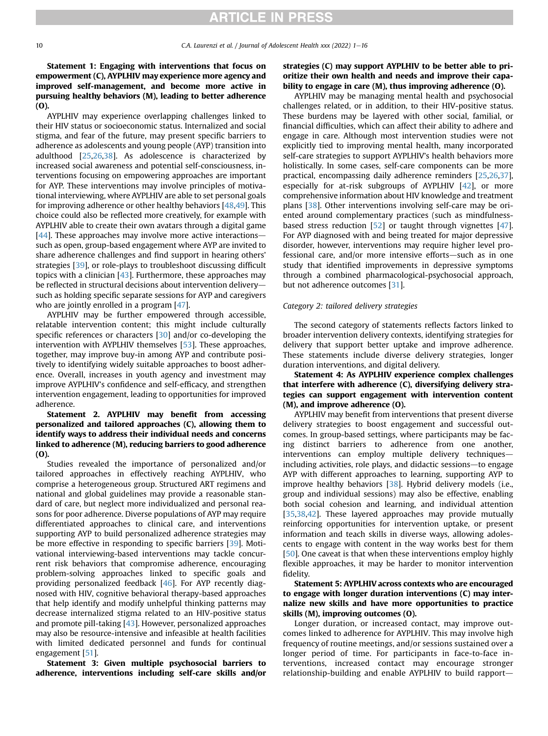## Statement 1: Engaging with interventions that focus on empowerment (C), AYPLHIV may experience more agency and improved self-management, and become more active in pursuing healthy behaviors (M), leading to better adherence (O).

AYPLHIV may experience overlapping challenges linked to their HIV status or socioeconomic status. Internalized and social stigma, and fear of the future, may present specific barriers to adherence as adolescents and young people (AYP) transition into adulthood [\[25,](#page-14-48)[26](#page-14-49)[,38\]](#page-14-50). As adolescence is characterized by increased social awareness and potential self-consciousness, interventions focusing on empowering approaches are important for AYP. These interventions may involve principles of motivational interviewing, where AYPLHIV are able to set personal goals for improving adherence or other healthy behaviors [\[48,](#page-14-51)[49](#page-14-52)]. This choice could also be reflected more creatively, for example with AYPLHIV able to create their own avatars through a digital game  $[44]$  $[44]$  $[44]$ . These approaches may involve more active interactionssuch as open, group-based engagement where AYP are invited to share adherence challenges and find support in hearing others' strategies [[39](#page-14-54)], or role-plays to troubleshoot discussing difficult topics with a clinician [\[43\]](#page-14-55). Furthermore, these approaches may be reflected in structural decisions about intervention deliverysuch as holding specific separate sessions for AYP and caregivers who are jointly enrolled in a program [\[47](#page-14-56)].

AYPLHIV may be further empowered through accessible, relatable intervention content; this might include culturally specific references or characters [[30](#page-14-57)] and/or co-developing the intervention with AYPLHIV themselves [\[53\]](#page-14-15). These approaches, together, may improve buy-in among AYP and contribute positively to identifying widely suitable approaches to boost adherence. Overall, increases in youth agency and investment may improve AYPLHIV's confidence and self-efficacy, and strengthen intervention engagement, leading to opportunities for improved adherence.

## Statement 2. AYPLHIV may benefit from accessing personalized and tailored approaches (C), allowing them to identify ways to address their individual needs and concerns linked to adherence (M), reducing barriers to good adherence (O).

Studies revealed the importance of personalized and/or tailored approaches in effectively reaching AYPLHIV, who comprise a heterogeneous group. Structured ART regimens and national and global guidelines may provide a reasonable standard of care, but neglect more individualized and personal reasons for poor adherence. Diverse populations of AYP may require differentiated approaches to clinical care, and interventions supporting AYP to build personalized adherence strategies may be more effective in responding to specific barriers [\[39\]](#page-14-54). Motivational interviewing-based interventions may tackle concurrent risk behaviors that compromise adherence, encouraging problem-solving approaches linked to specific goals and providing personalized feedback [[46](#page-14-58)]. For AYP recently diagnosed with HIV, cognitive behavioral therapy-based approaches that help identify and modify unhelpful thinking patterns may decrease internalized stigma related to an HIV-positive status and promote pill-taking [\[43\]](#page-14-55). However, personalized approaches may also be resource-intensive and infeasible at health facilities with limited dedicated personnel and funds for continual engagement [[51\]](#page-14-59).

Statement 3: Given multiple psychosocial barriers to adherence, interventions including self-care skills and/or

## strategies (C) may support AYPLHIV to be better able to prioritize their own health and needs and improve their capability to engage in care (M), thus improving adherence (O).

AYPLHIV may be managing mental health and psychosocial challenges related, or in addition, to their HIV-positive status. These burdens may be layered with other social, familial, or financial difficulties, which can affect their ability to adhere and engage in care. Although most intervention studies were not explicitly tied to improving mental health, many incorporated self-care strategies to support AYPLHIV's health behaviors more holistically. In some cases, self-care components can be more practical, encompassing daily adherence reminders [[25](#page-14-48)[,26,](#page-14-49)[37\]](#page-14-60), especially for at-risk subgroups of AYPLHIV [\[42\]](#page-14-61), or more comprehensive information about HIV knowledge and treatment plans [\[38\]](#page-14-50). Other interventions involving self-care may be oriented around complementary practices (such as mindfulness-based stress reduction [\[52](#page-14-14)] or taught through vignettes [[47\]](#page-14-56). For AYP diagnosed with and being treated for major depressive disorder, however, interventions may require higher level professional care, and/or more intensive efforts-such as in one study that identified improvements in depressive symptoms through a combined pharmacological-psychosocial approach, but not adherence outcomes [[31\]](#page-14-17).

#### Category 2: tailored delivery strategies

The second category of statements reflects factors linked to broader intervention delivery contexts, identifying strategies for delivery that support better uptake and improve adherence. These statements include diverse delivery strategies, longer duration interventions, and digital delivery.

## Statement 4: As AYPLHIV experience complex challenges that interfere with adherence (C), diversifying delivery strategies can support engagement with intervention content (M), and improve adherence (O).

AYPLHIV may benefit from interventions that present diverse delivery strategies to boost engagement and successful outcomes. In group-based settings, where participants may be facing distinct barriers to adherence from one another, interventions can employ multiple delivery techniquesincluding activities, role plays, and didactic sessions-to engage AYP with different approaches to learning, supporting AYP to improve healthy behaviors  $[38]$ . Hybrid delivery models (i.e., group and individual sessions) may also be effective, enabling both social cohesion and learning, and individual attention [[35,](#page-14-62)[38](#page-14-50)[,42\]](#page-14-61). These layered approaches may provide mutually reinforcing opportunities for intervention uptake, or present information and teach skills in diverse ways, allowing adolescents to engage with content in the way works best for them [[50](#page-14-63)]. One caveat is that when these interventions employ highly flexible approaches, it may be harder to monitor intervention fidelity.

## Statement 5: AYPLHIV across contexts who are encouraged to engage with longer duration interventions (C) may internalize new skills and have more opportunities to practice skills (M), improving outcomes (O).

Longer duration, or increased contact, may improve outcomes linked to adherence for AYPLHIV. This may involve high frequency of routine meetings, and/or sessions sustained over a longer period of time. For participants in face-to-face interventions, increased contact may encourage stronger relationship-building and enable AYPLHIV to build rapport-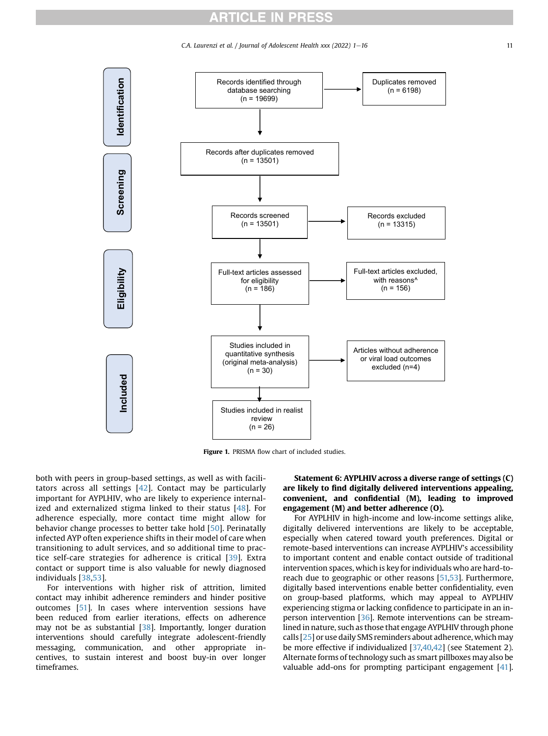C.A. Laurenzi et al. / Journal of Adolescent Health xxx (2022)  $1-16$  11

<span id="page-10-0"></span>

Figure 1. PRISMA flow chart of included studies.

both with peers in group-based settings, as well as with facilitators across all settings  $[42]$  $[42]$ . Contact may be particularly important for AYPLHIV, who are likely to experience internal-ized and externalized stigma linked to their status [[48\]](#page-14-51). For adherence especially, more contact time might allow for behavior change processes to better take hold [\[50\]](#page-14-63). Perinatally infected AYP often experience shifts in their model of care when transitioning to adult services, and so additional time to practice self-care strategies for adherence is critical [\[39](#page-14-54)]. Extra contact or support time is also valuable for newly diagnosed individuals [[38](#page-14-50)[,53](#page-14-15)].

For interventions with higher risk of attrition, limited contact may inhibit adherence reminders and hinder positive outcomes [\[51](#page-14-59)]. In cases where intervention sessions have been reduced from earlier iterations, effects on adherence may not be as substantial [\[38\]](#page-14-50). Importantly, longer duration interventions should carefully integrate adolescent-friendly messaging, communication, and other appropriate incentives, to sustain interest and boost buy-in over longer timeframes.

## Statement 6: AYPLHIV across a diverse range of settings (C) are likely to find digitally delivered interventions appealing, convenient, and confidential (M), leading to improved engagement (M) and better adherence (O).

For AYPLHIV in high-income and low-income settings alike, digitally delivered interventions are likely to be acceptable, especially when catered toward youth preferences. Digital or remote-based interventions can increase AYPLHIV's accessibility to important content and enable contact outside of traditional intervention spaces, which is key for individuals who are hard-to-reach due to geographic or other reasons [[51,](#page-14-59)[53](#page-14-15)]. Furthermore, digitally based interventions enable better confidentiality, even on group-based platforms, which may appeal to AYPLHIV experiencing stigma or lacking confidence to participate in an in-person intervention [\[36\]](#page-14-64). Remote interventions can be streamlined in nature, such as those that engage AYPLHIV through phone calls [[25](#page-14-48)] or use daily SMS reminders about adherence, which may be more effective if individualized [[37,](#page-14-60)[40,](#page-14-65)[42](#page-14-61)] (see Statement 2). Alternate forms of technology such as smart pillboxes may also be valuable add-ons for prompting participant engagement  $[41]$  $[41]$ .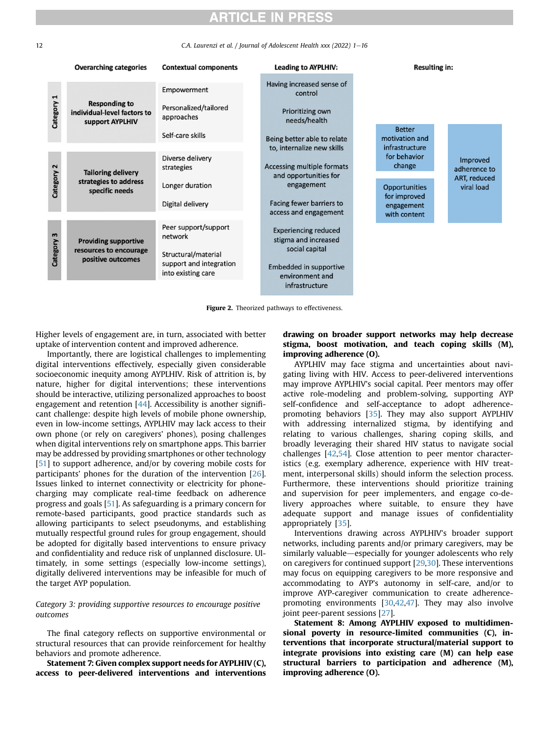<span id="page-11-0"></span>12 C.A. Laurenzi et al. / Journal of Adolescent Health xxx (2022) 1-16

|            | <b>Overarching categories</b>                                              | <b>Contextual components</b>                                         | <b>Leading to AYPLHIV:</b>                          | <b>Resulting in:</b>                 |                            |  |  |
|------------|----------------------------------------------------------------------------|----------------------------------------------------------------------|-----------------------------------------------------|--------------------------------------|----------------------------|--|--|
|            |                                                                            | Empowerment                                                          | Having increased sense of<br>control                |                                      |                            |  |  |
| Category 1 | <b>Responding to</b><br>individual-level factors to<br>support AYPLHIV     | Personalized/tailored<br>approaches                                  | Prioritizing own<br>needs/health                    |                                      |                            |  |  |
|            |                                                                            | Self-care skills                                                     | Being better able to relate                         | <b>Better</b><br>motivation and      |                            |  |  |
|            |                                                                            |                                                                      | to, internalize new skills                          | infrastructure                       |                            |  |  |
| Category 2 | <b>Tailoring delivery</b><br>strategies to address<br>specific needs       | Diverse delivery<br>strategies                                       | Accessing multiple formats                          | for behavior<br>change               | Improved<br>adherence to   |  |  |
|            |                                                                            | Longer duration                                                      | and opportunities for<br>engagement                 | <b>Opportunities</b><br>for improved | ART, reduced<br>viral load |  |  |
|            |                                                                            | Digital delivery                                                     | Facing fewer barriers to<br>access and engagement   | engagement<br>with content           |                            |  |  |
|            |                                                                            |                                                                      |                                                     |                                      |                            |  |  |
| Category 3 | <b>Providing supportive</b><br>resources to encourage<br>positive outcomes | Peer support/support<br>network                                      | <b>Experiencing reduced</b><br>stigma and increased |                                      |                            |  |  |
|            |                                                                            | Structural/material<br>support and integration<br>into existing care | social capital<br>Embedded in supportive            |                                      |                            |  |  |
|            |                                                                            |                                                                      | environment and<br>infrastructure                   |                                      |                            |  |  |

Figure 2. Theorized pathways to effectiveness.

Higher levels of engagement are, in turn, associated with better uptake of intervention content and improved adherence.

Importantly, there are logistical challenges to implementing digital interventions effectively, especially given considerable socioeconomic inequity among AYPLHIV. Risk of attrition is, by nature, higher for digital interventions; these interventions should be interactive, utilizing personalized approaches to boost engagement and retention  $[44]$ . Accessibility is another significant challenge: despite high levels of mobile phone ownership, even in low-income settings, AYPLHIV may lack access to their own phone (or rely on caregivers' phones), posing challenges when digital interventions rely on smartphone apps. This barrier may be addressed by providing smartphones or other technology [[51\]](#page-14-59) to support adherence, and/or by covering mobile costs for participants' phones for the duration of the intervention [\[26\]](#page-14-49). Issues linked to internet connectivity or electricity for phonecharging may complicate real-time feedback on adherence progress and goals [\[51](#page-14-59)]. As safeguarding is a primary concern for remote-based participants, good practice standards such as allowing participants to select pseudonyms, and establishing mutually respectful ground rules for group engagement, should be adopted for digitally based interventions to ensure privacy and confidentiality and reduce risk of unplanned disclosure. Ultimately, in some settings (especially low-income settings), digitally delivered interventions may be infeasible for much of the target AYP population.

## Category 3: providing supportive resources to encourage positive outcomes

The final category reflects on supportive environmental or structural resources that can provide reinforcement for healthy behaviors and promote adherence.

Statement 7: Given complex support needs for AYPLHIV (C), access to peer-delivered interventions and interventions

## drawing on broader support networks may help decrease stigma, boost motivation, and teach coping skills (M), improving adherence (O).

AYPLHIV may face stigma and uncertainties about navigating living with HIV. Access to peer-delivered interventions may improve AYPLHIV's social capital. Peer mentors may offer active role-modeling and problem-solving, supporting AYP self-confidence and self-acceptance to adopt adherencepromoting behaviors [[35](#page-14-62)]. They may also support AYPLHIV with addressing internalized stigma, by identifying and relating to various challenges, sharing coping skills, and broadly leveraging their shared HIV status to navigate social challenges [\[42,](#page-14-61)[54](#page-14-67)]. Close attention to peer mentor characteristics (e.g. exemplary adherence, experience with HIV treatment, interpersonal skills) should inform the selection process. Furthermore, these interventions should prioritize training and supervision for peer implementers, and engage co-delivery approaches where suitable, to ensure they have adequate support and manage issues of confidentiality appropriately [\[35\]](#page-14-62).

Interventions drawing across AYPLHIV's broader support networks, including parents and/or primary caregivers, may be similarly valuable—especially for younger adolescents who rely on caregivers for continued support [\[29,](#page-14-68)[30](#page-14-57)]. These interventions may focus on equipping caregivers to be more responsive and accommodating to AYP's autonomy in self-care, and/or to improve AYP-caregiver communication to create adherencepromoting environments [\[30,](#page-14-57)[42](#page-14-61),[47](#page-14-56)]. They may also involve joint peer-parent sessions [\[27](#page-14-69)].

Statement 8: Among AYPLHIV exposed to multidimensional poverty in resource-limited communities (C), interventions that incorporate structural/material support to integrate provisions into existing care (M) can help ease structural barriers to participation and adherence (M), improving adherence (O).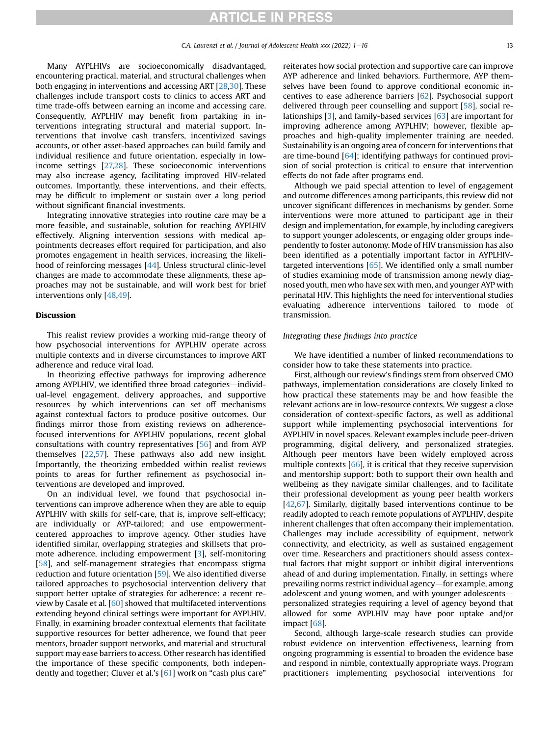Many AYPLHIVs are socioeconomically disadvantaged, encountering practical, material, and structural challenges when both engaging in interventions and accessing ART [\[28,](#page-14-70)[30\]](#page-14-57). These challenges include transport costs to clinics to access ART and time trade-offs between earning an income and accessing care. Consequently, AYPLHIV may benefit from partaking in interventions integrating structural and material support. Interventions that involve cash transfers, incentivized savings accounts, or other asset-based approaches can build family and individual resilience and future orientation, especially in lowincome settings [[27,](#page-14-69)[28\]](#page-14-70). These socioeconomic interventions may also increase agency, facilitating improved HIV-related outcomes. Importantly, these interventions, and their effects, may be difficult to implement or sustain over a long period without significant financial investments.

Integrating innovative strategies into routine care may be a more feasible, and sustainable, solution for reaching AYPLHIV effectively. Aligning intervention sessions with medical appointments decreases effort required for participation, and also promotes engagement in health services, increasing the likelihood of reinforcing messages [[44](#page-14-53)]. Unless structural clinic-level changes are made to accommodate these alignments, these approaches may not be sustainable, and will work best for brief interventions only [\[48](#page-14-51),[49\]](#page-14-52).

#### Discussion

This realist review provides a working mid-range theory of how psychosocial interventions for AYPLHIV operate across multiple contexts and in diverse circumstances to improve ART adherence and reduce viral load.

In theorizing effective pathways for improving adherence among AYPLHIV, we identified three broad categories-individual-level engagement, delivery approaches, and supportive resources-by which interventions can set off mechanisms against contextual factors to produce positive outcomes. Our findings mirror those from existing reviews on adherencefocused interventions for AYPLHIV populations, recent global consultations with country representatives [[56](#page-14-71)] and from AYP themselves [[22](#page-14-10)[,57](#page-14-72)]. These pathways also add new insight. Importantly, the theorizing embedded within realist reviews points to areas for further refinement as psychosocial interventions are developed and improved.

On an individual level, we found that psychosocial interventions can improve adherence when they are able to equip AYPLHIV with skills for self-care, that is, improve self-efficacy; are individually or AYP-tailored; and use empowermentcentered approaches to improve agency. Other studies have identified similar, overlapping strategies and skillsets that promote adherence, including empowerment [\[3](#page-13-8)], self-monitoring [[58](#page-15-0)], and self-management strategies that encompass stigma reduction and future orientation [\[59\]](#page-15-1). We also identified diverse tailored approaches to psychosocial intervention delivery that support better uptake of strategies for adherence: a recent review by Casale et al. [[60](#page-15-2)] showed that multifaceted interventions extending beyond clinical settings were important for AYPLHIV. Finally, in examining broader contextual elements that facilitate supportive resources for better adherence, we found that peer mentors, broader support networks, and material and structural support may ease barriers to access. Other research has identified the importance of these specific components, both independently and together; Cluver et al.'s [\[61](#page-15-3)] work on "cash plus care"

reiterates how social protection and supportive care can improve AYP adherence and linked behaviors. Furthermore, AYP themselves have been found to approve conditional economic incentives to ease adherence barriers [[62](#page-15-4)]. Psychosocial support delivered through peer counselling and support [\[58\]](#page-15-0), social relationships [\[3](#page-13-8)], and family-based services [\[63\]](#page-15-5) are important for improving adherence among AYPLHIV; however, flexible approaches and high-quality implementer training are needed. Sustainability is an ongoing area of concern for interventions that are time-bound [\[64](#page-15-6)]; identifying pathways for continued provision of social protection is critical to ensure that intervention effects do not fade after programs end.

Although we paid special attention to level of engagement and outcome differences among participants, this review did not uncover significant differences in mechanisms by gender. Some interventions were more attuned to participant age in their design and implementation, for example, by including caregivers to support younger adolescents, or engaging older groups independently to foster autonomy. Mode of HIV transmission has also been identified as a potentially important factor in AYPLHIV-targeted interventions [\[65\]](#page-15-7). We identified only a small number of studies examining mode of transmission among newly diagnosed youth, men who have sex with men, and younger AYP with perinatal HIV. This highlights the need for interventional studies evaluating adherence interventions tailored to mode of transmission.

### Integrating these findings into practice

We have identified a number of linked recommendations to consider how to take these statements into practice.

First, although our review's findings stem from observed CMO pathways, implementation considerations are closely linked to how practical these statements may be and how feasible the relevant actions are in low-resource contexts. We suggest a close consideration of context-specific factors, as well as additional support while implementing psychosocial interventions for AYPLHIV in novel spaces. Relevant examples include peer-driven programming, digital delivery, and personalized strategies. Although peer mentors have been widely employed across multiple contexts [\[66\]](#page-15-8), it is critical that they receive supervision and mentorship support: both to support their own health and wellbeing as they navigate similar challenges, and to facilitate their professional development as young peer health workers [[42](#page-14-61)[,67](#page-15-9)]. Similarly, digitally based interventions continue to be readily adopted to reach remote populations of AYPLHIV, despite inherent challenges that often accompany their implementation. Challenges may include accessibility of equipment, network connectivity, and electricity, as well as sustained engagement over time. Researchers and practitioners should assess contextual factors that might support or inhibit digital interventions ahead of and during implementation. Finally, in settings where prevailing norms restrict individual agency—for example, among adolescent and young women, and with younger adolescentspersonalized strategies requiring a level of agency beyond that allowed for some AYPLHIV may have poor uptake and/or impact [\[68\]](#page-15-10).

Second, although large-scale research studies can provide robust evidence on intervention effectiveness, learning from ongoing programming is essential to broaden the evidence base and respond in nimble, contextually appropriate ways. Program practitioners implementing psychosocial interventions for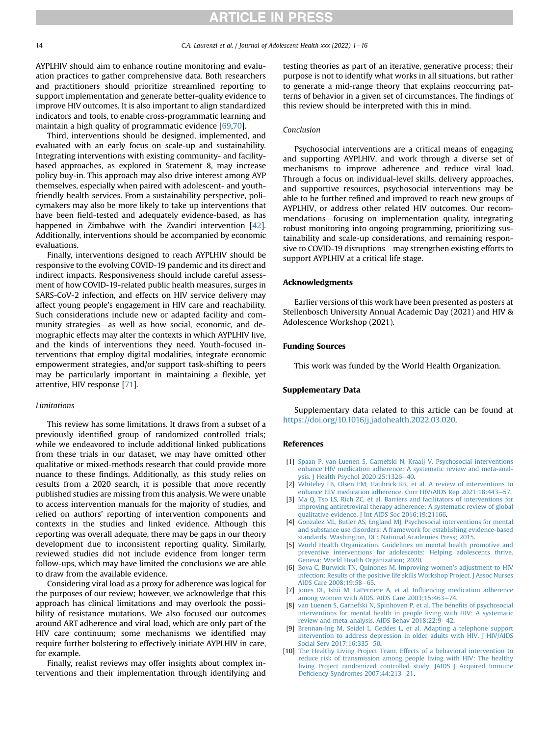AYPLHIV should aim to enhance routine monitoring and evaluation practices to gather comprehensive data. Both researchers and practitioners should prioritize streamlined reporting to support implementation and generate better-quality evidence to improve HIV outcomes. It is also important to align standardized indicators and tools, to enable cross-programmatic learning and maintain a high quality of programmatic evidence [[69](#page-15-11),[70](#page-15-12)].

Third, interventions should be designed, implemented, and evaluated with an early focus on scale-up and sustainability. Integrating interventions with existing community- and facilitybased approaches, as explored in Statement 8, may increase policy buy-in. This approach may also drive interest among AYP themselves, especially when paired with adolescent- and youthfriendly health services. From a sustainability perspective, policymakers may also be more likely to take up interventions that have been field-tested and adequately evidence-based, as has happened in Zimbabwe with the Zvandiri intervention [\[42\]](#page-14-61). Additionally, interventions should be accompanied by economic evaluations.

Finally, interventions designed to reach AYPLHIV should be responsive to the evolving COVID-19 pandemic and its direct and indirect impacts. Responsiveness should include careful assessment of how COVID-19-related public health measures, surges in SARS-CoV-2 infection, and effects on HIV service delivery may affect young people's engagement in HIV care and reachability. Such considerations include new or adapted facility and community strategies—as well as how social, economic, and demographic effects may alter the contexts in which AYPLHIV live, and the kinds of interventions they need. Youth-focused interventions that employ digital modalities, integrate economic empowerment strategies, and/or support task-shifting to peers may be particularly important in maintaining a flexible, yet attentive, HIV response [\[71](#page-15-13)].

#### Limitations

This review has some limitations. It draws from a subset of a previously identified group of randomized controlled trials; while we endeavored to include additional linked publications from these trials in our dataset, we may have omitted other qualitative or mixed-methods research that could provide more nuance to these findings. Additionally, as this study relies on results from a 2020 search, it is possible that more recently published studies are missing from this analysis. We were unable to access intervention manuals for the majority of studies, and relied on authors' reporting of intervention components and contexts in the studies and linked evidence. Although this reporting was overall adequate, there may be gaps in our theory development due to inconsistent reporting quality. Similarly, reviewed studies did not include evidence from longer term follow-ups, which may have limited the conclusions we are able to draw from the available evidence.

Considering viral load as a proxy for adherence was logical for the purposes of our review; however, we acknowledge that this approach has clinical limitations and may overlook the possibility of resistance mutations. We also focused our outcomes around ART adherence and viral load, which are only part of the HIV care continuum; some mechanisms we identified may require further bolstering to effectively initiate AYPLHIV in care, for example.

Finally, realist reviews may offer insights about complex interventions and their implementation through identifying and testing theories as part of an iterative, generative process; their purpose is not to identify what works in all situations, but rather to generate a mid-range theory that explains reoccurring patterns of behavior in a given set of circumstances. The findings of this review should be interpreted with this in mind.

#### Conclusion

Psychosocial interventions are a critical means of engaging and supporting AYPLHIV, and work through a diverse set of mechanisms to improve adherence and reduce viral load. Through a focus on individual-level skills, delivery approaches, and supportive resources, psychosocial interventions may be able to be further refined and improved to reach new groups of AYPLHIV, or address other related HIV outcomes. Our recommendations-focusing on implementation quality, integrating robust monitoring into ongoing programming, prioritizing sustainability and scale-up considerations, and remaining responsive to COVID-19 disruptions—may strengthen existing efforts to support AYPLHIV at a critical life stage.

#### Acknowledgments

Earlier versions of this work have been presented as posters at Stellenbosch University Annual Academic Day (2021) and HIV & Adolescence Workshop (2021).

### Funding Sources

This work was funded by the World Health Organization.

#### Supplementary Data

Supplementary data related to this article can be found at [https://doi.org/10.1016/j.jadohealth.2022.03.020.](https://doi.org/10.1016/j.jadohealth.2022.03.020)

### <span id="page-13-0"></span>References

- [1] [Spaan P, van Luenen S, Garnefski N, Kraaij V. Psychosocial interventions](http://refhub.elsevier.com/S1054-139X(22)00408-6/sref1) [enhance HIV medication adherence: A systematic review and meta-anal](http://refhub.elsevier.com/S1054-139X(22)00408-6/sref1)[ysis. J Health Psychol 2020;25:1326](http://refhub.elsevier.com/S1054-139X(22)00408-6/sref1)-[40](http://refhub.elsevier.com/S1054-139X(22)00408-6/sref1).
- <span id="page-13-8"></span>[2] [Whiteley LB, Olsen EM, Haubrick KK, et al. A review of interventions to](http://refhub.elsevier.com/S1054-139X(22)00408-6/sref2) [enhance HIV medication adherence. Curr HIV/AIDS Rep 2021;18:443](http://refhub.elsevier.com/S1054-139X(22)00408-6/sref2)-[57.](http://refhub.elsevier.com/S1054-139X(22)00408-6/sref2)
- <span id="page-13-1"></span>[3] [Ma Q, Tso LS, Rich ZC, et al. Barriers and facilitators of interventions for](http://refhub.elsevier.com/S1054-139X(22)00408-6/sref3) [improving antiretroviral therapy adherence: A systematic review of global](http://refhub.elsevier.com/S1054-139X(22)00408-6/sref3) [qualitative evidence. J Int AIDS Soc 2016;19:21166](http://refhub.elsevier.com/S1054-139X(22)00408-6/sref3).
- <span id="page-13-2"></span>[4] [Gonzalez ML, Butler AS, England MJ. Psychosocial interventions for mental](http://refhub.elsevier.com/S1054-139X(22)00408-6/sref4) [and substance use disorders: A framework for establishing evidence-based](http://refhub.elsevier.com/S1054-139X(22)00408-6/sref4) [standards. Washington, DC: National Academies Press; 2015.](http://refhub.elsevier.com/S1054-139X(22)00408-6/sref4)
- <span id="page-13-3"></span>[5] [World Health Organization. Guidelines on mental health promotive and](http://refhub.elsevier.com/S1054-139X(22)00408-6/sref5) [preventive interventions for adolescents: Helping adolescents thrive.](http://refhub.elsevier.com/S1054-139X(22)00408-6/sref5) [Geneva: World Health Organization; 2020.](http://refhub.elsevier.com/S1054-139X(22)00408-6/sref5)
- <span id="page-13-4"></span>[6] [Bova C, Burwick TN, Quinones M. Improving women](http://refhub.elsevier.com/S1054-139X(22)00408-6/sref6)'s adjustment to HIV [infection: Results of the positive life skills Workshop Project. J Assoc Nurses](http://refhub.elsevier.com/S1054-139X(22)00408-6/sref6) AIDS Care 2008:19:58-[65](http://refhub.elsevier.com/S1054-139X(22)00408-6/sref6).
- <span id="page-13-5"></span>[7] [Jones DL, Ishii M, LaPerriere A, et al. In](http://refhub.elsevier.com/S1054-139X(22)00408-6/sref7)fluencing medication adherence [among women with AIDS. AIDS Care 2003;15:463](http://refhub.elsevier.com/S1054-139X(22)00408-6/sref7)-[74.](http://refhub.elsevier.com/S1054-139X(22)00408-6/sref7)
- <span id="page-13-6"></span>[8] [van Luenen S, Garnefski N, Spinhoven P, et al. The bene](http://refhub.elsevier.com/S1054-139X(22)00408-6/sref8)fits of psychosocial [interventions for mental health in people living with HIV: A systematic](http://refhub.elsevier.com/S1054-139X(22)00408-6/sref8) [review and meta-analysis. AIDS Behav 2018;22:9](http://refhub.elsevier.com/S1054-139X(22)00408-6/sref8)-[42.](http://refhub.elsevier.com/S1054-139X(22)00408-6/sref8)
- <span id="page-13-7"></span>[9] [Brennan-Ing M, Seidel L, Geddes L, et al. Adapting a telephone support](http://refhub.elsevier.com/S1054-139X(22)00408-6/sref9) [intervention to address depression in older adults with HIV. J HIV/AIDS](http://refhub.elsevier.com/S1054-139X(22)00408-6/sref9) Social Serv 2017:16:335-[50.](http://refhub.elsevier.com/S1054-139X(22)00408-6/sref9)
- [10] [The Healthy Living Project Team. Effects of a behavioral intervention to](http://refhub.elsevier.com/S1054-139X(22)00408-6/sref10) [reduce risk of transmission among people living with HIV: The healthy](http://refhub.elsevier.com/S1054-139X(22)00408-6/sref10) [living Project randomized controlled study. JAIDS J Acquired Immune](http://refhub.elsevier.com/S1054-139X(22)00408-6/sref10) Defi[ciency Syndromes 2007;44:213](http://refhub.elsevier.com/S1054-139X(22)00408-6/sref10)-[21.](http://refhub.elsevier.com/S1054-139X(22)00408-6/sref10)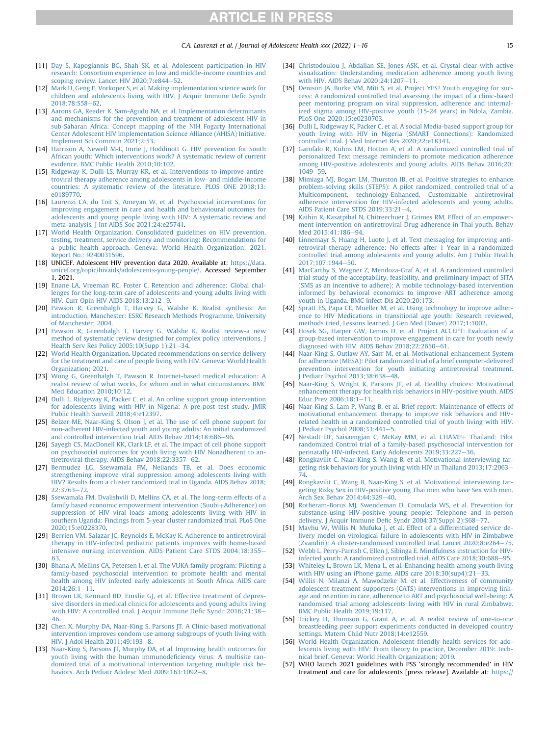- <span id="page-14-26"></span><span id="page-14-25"></span><span id="page-14-24"></span><span id="page-14-0"></span>[11] [Day S, Kapogiannis BG, Shah SK, et al. Adolescent participation in HIV](http://refhub.elsevier.com/S1054-139X(22)00408-6/sref11) [research: Consortium experience in low and middle-income countries and](http://refhub.elsevier.com/S1054-139X(22)00408-6/sref11) [scoping review. Lancet HIV 2020;7:e844](http://refhub.elsevier.com/S1054-139X(22)00408-6/sref11)-[52](http://refhub.elsevier.com/S1054-139X(22)00408-6/sref11).
- <span id="page-14-1"></span>[12] [Mark D, Geng E, Vorkoper S, et al. Making implementation science work for](http://refhub.elsevier.com/S1054-139X(22)00408-6/sref12) [children and adolescents living with HIV. J Acquir Immune De](http://refhub.elsevier.com/S1054-139X(22)00408-6/sref12)fic Syndr 2018:78:S58-[62.](http://refhub.elsevier.com/S1054-139X(22)00408-6/sref12)
- <span id="page-14-2"></span>[13] [Aarons GA, Reeder K, Sam-Agudu NA, et al. Implementation determinants](http://refhub.elsevier.com/S1054-139X(22)00408-6/sref13) [and mechanisms for the prevention and treatment of adolescent HIV in](http://refhub.elsevier.com/S1054-139X(22)00408-6/sref13) [sub-Saharan Africa: Concept mapping of the NIH Fogarty International](http://refhub.elsevier.com/S1054-139X(22)00408-6/sref13) [Center Adolescent HIV Implementation Science Alliance \(AHISA\) Initiative.](http://refhub.elsevier.com/S1054-139X(22)00408-6/sref13) [Implement Sci Commun 2021;2:53](http://refhub.elsevier.com/S1054-139X(22)00408-6/sref13).
- <span id="page-14-3"></span>[14] [Harrison A, Newell M-L, Imrie J, Hoddinott G. HIV prevention for South](http://refhub.elsevier.com/S1054-139X(22)00408-6/sref14) [African youth: Which interventions work? A systematic review of current](http://refhub.elsevier.com/S1054-139X(22)00408-6/sref14) [evidence. BMC Public Health 2010;10:102](http://refhub.elsevier.com/S1054-139X(22)00408-6/sref14).
- <span id="page-14-4"></span>[15] [Ridgeway K, Dulli LS, Murray KR, et al. Interventions to improve antire](http://refhub.elsevier.com/S1054-139X(22)00408-6/sref15)[troviral therapy adherence among adolescents in low- and middle-income](http://refhub.elsevier.com/S1054-139X(22)00408-6/sref15) [countries: A systematic review of the literature. PLOS ONE 2018;13:](http://refhub.elsevier.com/S1054-139X(22)00408-6/sref15) [e0189770.](http://refhub.elsevier.com/S1054-139X(22)00408-6/sref15)
- <span id="page-14-5"></span>[16] [Laurenzi CA, du Toit S, Ameyan W, et al. Psychosocial interventions for](http://refhub.elsevier.com/S1054-139X(22)00408-6/sref16) [improving engagement in care and health and behavioural outcomes for](http://refhub.elsevier.com/S1054-139X(22)00408-6/sref16) [adolescents and young people living with HIV: A systematic review and](http://refhub.elsevier.com/S1054-139X(22)00408-6/sref16) [meta-analysis. J Int AIDS Soc 2021;24:e25741](http://refhub.elsevier.com/S1054-139X(22)00408-6/sref16).
- <span id="page-14-6"></span>[17] [World Health Organization. Consolidated guidelines on HIV prevention,](http://refhub.elsevier.com/S1054-139X(22)00408-6/sref17) [testing, treatment, service delivery and monitoring: Recommendations for](http://refhub.elsevier.com/S1054-139X(22)00408-6/sref17) [a public health approach. Geneva: World Health Organization; 2021.](http://refhub.elsevier.com/S1054-139X(22)00408-6/sref17) [Report No.: 9240031596.](http://refhub.elsevier.com/S1054-139X(22)00408-6/sref17)
- <span id="page-14-7"></span>[18] UNICEF. Adolescent HIV prevention data 2020. Available at: [https://data.](https://data.unicef.org/topic/hivaids/adolescents-young-people/) [unicef.org/topic/hivaids/adolescents-young-people/.](https://data.unicef.org/topic/hivaids/adolescents-young-people/) Accessed September 1, 2021.
- <span id="page-14-47"></span><span id="page-14-8"></span>[19] [Enane LA, Vreeman RC, Foster C. Retention and adherence: Global chal](http://refhub.elsevier.com/S1054-139X(22)00408-6/sref19)[lenges for the long-term care of adolescents and young adults living with](http://refhub.elsevier.com/S1054-139X(22)00408-6/sref19) [HIV. Curr Opin HIV AIDS 2018;13:212](http://refhub.elsevier.com/S1054-139X(22)00408-6/sref19)-[9.](http://refhub.elsevier.com/S1054-139X(22)00408-6/sref19)
- <span id="page-14-9"></span>[20] [Pawson R, Greenhalgh T, Harvey G, Walshe K. Realist synthesis: An](http://refhub.elsevier.com/S1054-139X(22)00408-6/sref20) [introduction. Manchester: ESRC Research Methods Programme, University](http://refhub.elsevier.com/S1054-139X(22)00408-6/sref20) [of Manchester; 2004](http://refhub.elsevier.com/S1054-139X(22)00408-6/sref20).
- <span id="page-14-11"></span>[21] [Pawson R, Greenhalgh T, Harvey G, Walshe K. Realist review-a new](http://refhub.elsevier.com/S1054-139X(22)00408-6/optYrR3ssU8bG) [method of systematic review designed for complex policy interventions. J](http://refhub.elsevier.com/S1054-139X(22)00408-6/optYrR3ssU8bG) Health Serv Res Policy  $2005;10(Supp 1):21-34$  $2005;10(Supp 1):21-34$ .
- <span id="page-14-10"></span>[22] [World Health Organization. Updated recommendations on service delivery](http://refhub.elsevier.com/S1054-139X(22)00408-6/sref22) [for the treatment and care of people living with HIV. Geneva: World Health](http://refhub.elsevier.com/S1054-139X(22)00408-6/sref22) [Organization; 2021.](http://refhub.elsevier.com/S1054-139X(22)00408-6/sref22)
- <span id="page-14-12"></span>[23] [Wong G, Greenhalgh T, Pawson R. Internet-based medical education: A](http://refhub.elsevier.com/S1054-139X(22)00408-6/sref23) [realist review of what works, for whom and in what circumstances. BMC](http://refhub.elsevier.com/S1054-139X(22)00408-6/sref23) [Med Education 2010;10:12.](http://refhub.elsevier.com/S1054-139X(22)00408-6/sref23)
- <span id="page-14-13"></span>[24] [Dulli L, Ridgeway K, Packer C, et al. An online support group intervention](http://refhub.elsevier.com/S1054-139X(22)00408-6/sref24) [for adolescents living with HIV in Nigeria: A pre-post test study. JMIR](http://refhub.elsevier.com/S1054-139X(22)00408-6/sref24) [Public Health Surveill 2018;4:e12397.](http://refhub.elsevier.com/S1054-139X(22)00408-6/sref24)
- <span id="page-14-48"></span>[25] [Belzer ME, Naar-King S, Olson J, et al. The use of cell phone support for](http://refhub.elsevier.com/S1054-139X(22)00408-6/sref25) [non-adherent HIV-infected youth and young adults: An initial randomized](http://refhub.elsevier.com/S1054-139X(22)00408-6/sref25) [and controlled intervention trial. AIDS Behav 2014;18:686](http://refhub.elsevier.com/S1054-139X(22)00408-6/sref25)-[96](http://refhub.elsevier.com/S1054-139X(22)00408-6/sref25).
- <span id="page-14-49"></span>[26] [Sayegh CS, MacDonell KK, Clark LF, et al. The impact of cell phone support](http://refhub.elsevier.com/S1054-139X(22)00408-6/sref26) [on psychosocial outcomes for youth living with HIV Nonadherent to an](http://refhub.elsevier.com/S1054-139X(22)00408-6/sref26)[tiretroviral therapy. AIDS Behav 2018;22:3357](http://refhub.elsevier.com/S1054-139X(22)00408-6/sref26)-[62.](http://refhub.elsevier.com/S1054-139X(22)00408-6/sref26)
- <span id="page-14-69"></span>[27] [Bermudez LG, Ssewamala FM, Neilands TB, et al. Does economic](http://refhub.elsevier.com/S1054-139X(22)00408-6/sref27) [strengthening improve viral suppression among adolescents living with](http://refhub.elsevier.com/S1054-139X(22)00408-6/sref27) [HIV? Results from a cluster randomized trial in Uganda. AIDS Behav 2018;](http://refhub.elsevier.com/S1054-139X(22)00408-6/sref27) [22:3763](http://refhub.elsevier.com/S1054-139X(22)00408-6/sref27)-[72.](http://refhub.elsevier.com/S1054-139X(22)00408-6/sref27)
- <span id="page-14-70"></span>[28] [Ssewamala FM, Dvalishvili D, Mellins CA, et al. The long-term effects of a](http://refhub.elsevier.com/S1054-139X(22)00408-6/sref28) [family based economic empowerment intervention \(Suubi](http://refhub.elsevier.com/S1054-139X(22)00408-6/sref28)+[Adherence\) on](http://refhub.elsevier.com/S1054-139X(22)00408-6/sref28) [suppression of HIV viral loads among adolescents living with HIV in](http://refhub.elsevier.com/S1054-139X(22)00408-6/sref28) [southern Uganda: Findings from 5-year cluster randomized trial. PLoS One](http://refhub.elsevier.com/S1054-139X(22)00408-6/sref28) [2020;15:e0228370](http://refhub.elsevier.com/S1054-139X(22)00408-6/sref28).
- <span id="page-14-68"></span>[29] [Berrien VM, Salazar JC, Reynolds E, McKay K. Adherence to antiretroviral](http://refhub.elsevier.com/S1054-139X(22)00408-6/sref29) therapy in HIV-infected pediatric [patients improves with home-based](http://refhub.elsevier.com/S1054-139X(22)00408-6/sref29) [intensive nursing intervention. AIDS Patient Care STDS 2004;18:355](http://refhub.elsevier.com/S1054-139X(22)00408-6/sref29)-[63](http://refhub.elsevier.com/S1054-139X(22)00408-6/sref29).
- <span id="page-14-57"></span>[30] [Bhana A, Mellins CA, Petersen I, et al. The VUKA family program: Piloting a](http://refhub.elsevier.com/S1054-139X(22)00408-6/sref30) [family-based psychosocial intervention to promote health and mental](http://refhub.elsevier.com/S1054-139X(22)00408-6/sref30) [health among HIV infected early adolescents in South Africa. AIDS care](http://refhub.elsevier.com/S1054-139X(22)00408-6/sref30)  $2014;26:1-11.$  $2014;26:1-11.$  $2014;26:1-11.$
- <span id="page-14-17"></span>[31] [Brown LK, Kennard BD, Emslie GJ, et al. Effective treatment of depres](http://refhub.elsevier.com/S1054-139X(22)00408-6/sref31)[sive disorders in medical clinics for adolescents and young adults living](http://refhub.elsevier.com/S1054-139X(22)00408-6/sref31) [with HIV: A controlled trial. J Acquir Immune De](http://refhub.elsevier.com/S1054-139X(22)00408-6/sref31)fic Syndr 2016;71:38-[46](http://refhub.elsevier.com/S1054-139X(22)00408-6/sref31).
- [32] [Chen X, Murphy DA, Naar-King S, Parsons JT. A Clinic-based motivational](http://refhub.elsevier.com/S1054-139X(22)00408-6/sref1q) [intervention improves condom use among subgroups of youth living with](http://refhub.elsevier.com/S1054-139X(22)00408-6/sref1q) HIV. I Adol Health 2011:49:193-[8](http://refhub.elsevier.com/S1054-139X(22)00408-6/sref1q).
- [33] [Naar-King S, Parsons JT, Murphy DA, et al. Improving health outcomes for](http://refhub.elsevier.com/S1054-139X(22)00408-6/sref1rty) [youth living with the human immunode](http://refhub.elsevier.com/S1054-139X(22)00408-6/sref1rty)ficiency virus: A multisite ran[domized trial of a motivational intervention targeting multiple risk be](http://refhub.elsevier.com/S1054-139X(22)00408-6/sref1rty)haviors. Arch Pediatr Adolesc Med  $2009;163;1092-8$  $2009;163;1092-8$ .
- <span id="page-14-23"></span><span id="page-14-22"></span><span id="page-14-21"></span><span id="page-14-20"></span><span id="page-14-19"></span><span id="page-14-18"></span>[34] [Christodoulou J, Abdalian SE, Jones ASK, et al. Crystal clear with active](http://refhub.elsevier.com/S1054-139X(22)00408-6/optCgG1SVuxhk) [visualization: Understanding medication adherence among youth living](http://refhub.elsevier.com/S1054-139X(22)00408-6/optCgG1SVuxhk) [with HIV. AIDS Behav 2020;24:1207](http://refhub.elsevier.com/S1054-139X(22)00408-6/optCgG1SVuxhk)-[11](http://refhub.elsevier.com/S1054-139X(22)00408-6/optCgG1SVuxhk).
- <span id="page-14-62"></span>[35] [Denison JA, Burke VM, Miti S, et al. Project YES! Youth engaging for suc](http://refhub.elsevier.com/S1054-139X(22)00408-6/sref35)[cess: A randomized controlled trial assessing the impact of a clinic-based](http://refhub.elsevier.com/S1054-139X(22)00408-6/sref35) [peer mentoring program on viral suppression, adherence and internal](http://refhub.elsevier.com/S1054-139X(22)00408-6/sref35)[ized stigma among HIV-positive youth \(15-24 years\) in Ndola, Zambia.](http://refhub.elsevier.com/S1054-139X(22)00408-6/sref35) [PLoS One 2020;15:e0230703](http://refhub.elsevier.com/S1054-139X(22)00408-6/sref35).
- <span id="page-14-64"></span>[36] [Dulli L, Ridgeway K, Packer C, et al. A social Media-based support group for](http://refhub.elsevier.com/S1054-139X(22)00408-6/sref36) [youth living with HIV in Nigeria \(SMART Connections\): Randomized](http://refhub.elsevier.com/S1054-139X(22)00408-6/sref36) [controlled trial. J Med Internet Res 2020;22:e18343](http://refhub.elsevier.com/S1054-139X(22)00408-6/sref36).
- <span id="page-14-60"></span>[37] [Garofalo R, Kuhns LM, Hotton A, et al. A randomized controlled trial of](http://refhub.elsevier.com/S1054-139X(22)00408-6/sref37) [personalized Text message reminders to promote medication adherence](http://refhub.elsevier.com/S1054-139X(22)00408-6/sref37) [among HIV-positive adolescents and young adults. AIDS Behav 2016;20:](http://refhub.elsevier.com/S1054-139X(22)00408-6/sref37)  $1049 - 59.$  $1049 - 59.$  $1049 - 59.$
- <span id="page-14-50"></span>[38] [Mimiaga MJ, Bogart LM, Thurston IB, et al. Positive strategies to enhance](http://refhub.elsevier.com/S1054-139X(22)00408-6/sref38) [problem-solving skills \(STEPS\): A pilot randomized, controlled trial of a](http://refhub.elsevier.com/S1054-139X(22)00408-6/sref38) [Multicomponent, technology-Enhanced, Customizable antiretroviral](http://refhub.elsevier.com/S1054-139X(22)00408-6/sref38) [adherence intervention for HIV-infected adolescents and young adults.](http://refhub.elsevier.com/S1054-139X(22)00408-6/sref38) AIDS Patient Care STDS  $2019:33:21-4$  $2019:33:21-4$ .
- <span id="page-14-54"></span>[39] [Kaihin R, Kasatpibal N, Chitreechuer J, Grimes RM. Effect of an empower](http://refhub.elsevier.com/S1054-139X(22)00408-6/sref39)[ment intervention on antiretroviral Drug adherence in Thai youth. Behav](http://refhub.elsevier.com/S1054-139X(22)00408-6/sref39) [Med 2015;41:186](http://refhub.elsevier.com/S1054-139X(22)00408-6/sref39)-[94.](http://refhub.elsevier.com/S1054-139X(22)00408-6/sref39)
- <span id="page-14-65"></span>[40] [Linnemayr S, Huang H, Luoto J, et al. Text messaging for improving anti](http://refhub.elsevier.com/S1054-139X(22)00408-6/sref40)[retroviral therapy adherence: No effects after 1 Year in a randomized](http://refhub.elsevier.com/S1054-139X(22)00408-6/sref40) [controlled trial among adolescents and young adults. Am J Public Health](http://refhub.elsevier.com/S1054-139X(22)00408-6/sref40) [2017;107:1944](http://refhub.elsevier.com/S1054-139X(22)00408-6/sref40)-[50.](http://refhub.elsevier.com/S1054-139X(22)00408-6/sref40)
- <span id="page-14-66"></span><span id="page-14-46"></span><span id="page-14-45"></span><span id="page-14-44"></span><span id="page-14-43"></span><span id="page-14-42"></span><span id="page-14-41"></span><span id="page-14-40"></span><span id="page-14-39"></span><span id="page-14-38"></span><span id="page-14-37"></span><span id="page-14-36"></span><span id="page-14-35"></span>[41] [MacCarthy S, Wagner Z, Mendoza-Graf A, et al. A randomized controlled](http://refhub.elsevier.com/S1054-139X(22)00408-6/sref41) [trial study of the acceptability, feasibility, and preliminary impact of SITA](http://refhub.elsevier.com/S1054-139X(22)00408-6/sref41) [\(SMS as an incentive to adhere\): A mobile technology-based intervention](http://refhub.elsevier.com/S1054-139X(22)00408-6/sref41) [informed by behavioral economics to improve ART adherence among](http://refhub.elsevier.com/S1054-139X(22)00408-6/sref41) [youth in Uganda. BMC Infect Dis 2020;20:173.](http://refhub.elsevier.com/S1054-139X(22)00408-6/sref41)
- <span id="page-14-61"></span><span id="page-14-34"></span><span id="page-14-33"></span><span id="page-14-32"></span><span id="page-14-31"></span><span id="page-14-30"></span><span id="page-14-29"></span><span id="page-14-28"></span><span id="page-14-27"></span>[42] [Spratt ES, Papa CE, Mueller M, et al. Using technology to improve adher](http://refhub.elsevier.com/S1054-139X(22)00408-6/sref42)[ence to HIV Medications in transitional age youth: Research reviewed,](http://refhub.elsevier.com/S1054-139X(22)00408-6/sref42) [methods tried, Lessons learned. J Gen Med \(Dover\) 2017;1:1002.](http://refhub.elsevier.com/S1054-139X(22)00408-6/sref42)
- <span id="page-14-55"></span>[43] [Hosek SG, Harper GW, Lemos D, et al. Project ACCEPT: Evaluation of a](http://refhub.elsevier.com/S1054-139X(22)00408-6/sref43) [group-based intervention to improve engagement in care for youth newly](http://refhub.elsevier.com/S1054-139X(22)00408-6/sref43) diagnosed with HIV. AIDS Behav  $2018;22:2650-61$ .
- <span id="page-14-53"></span>[44] [Naar-King S, Outlaw AY, Sarr M, et al. Motivational enhancement System](http://refhub.elsevier.com/S1054-139X(22)00408-6/sref44) [for adherence \(MESA\): Pilot randomized trial of a brief computer-delivered](http://refhub.elsevier.com/S1054-139X(22)00408-6/sref44) [prevention intervention for youth initiating antiretroviral treatment.](http://refhub.elsevier.com/S1054-139X(22)00408-6/sref44) I Pediatr Psychol 2013:38:638-[48](http://refhub.elsevier.com/S1054-139X(22)00408-6/sref44).
- [45] [Naar-King S, Wright K, Parsons JT, et al. Healthy choices: Motivational](http://refhub.elsevier.com/S1054-139X(22)00408-6/sref1ba) [enhancement therapy for health risk behaviors in HIV-positive youth. AIDS](http://refhub.elsevier.com/S1054-139X(22)00408-6/sref1ba) [Educ Prev 2006;18:1](http://refhub.elsevier.com/S1054-139X(22)00408-6/sref1ba)-[11](http://refhub.elsevier.com/S1054-139X(22)00408-6/sref1ba).
- <span id="page-14-58"></span>[46] [Naar-King S, Lam P, Wang B, et al. Brief report: Maintenance of effects of](http://refhub.elsevier.com/S1054-139X(22)00408-6/sref46) [motivational enhancement therapy to improve risk behaviors and HIV](http://refhub.elsevier.com/S1054-139X(22)00408-6/sref46)[related health in a randomized controlled trial of youth living with HIV.](http://refhub.elsevier.com/S1054-139X(22)00408-6/sref46) [J Pediatr Psychol 2008;33:441](http://refhub.elsevier.com/S1054-139X(22)00408-6/sref46)-[5.](http://refhub.elsevier.com/S1054-139X(22)00408-6/sref46)
- <span id="page-14-56"></span>[47] [Nestadt DF, Saisaengjan C, McKay MM, et al. CHAMP](http://refhub.elsevier.com/S1054-139X(22)00408-6/sref47)+ [Thailand: Pilot](http://refhub.elsevier.com/S1054-139X(22)00408-6/sref47) [randomized Control trial of a family-based psychosocial intervention for](http://refhub.elsevier.com/S1054-139X(22)00408-6/sref47) [perinatally HIV-infected. Early Adolescents 2019;33:227](http://refhub.elsevier.com/S1054-139X(22)00408-6/sref47)-[36](http://refhub.elsevier.com/S1054-139X(22)00408-6/sref47).
- <span id="page-14-51"></span>[48] [Rongkavilit C, Naar-King S, Wang B, et al. Motivational interviewing tar](http://refhub.elsevier.com/S1054-139X(22)00408-6/sref48)[geting risk behaviors for youth living with HIV in Thailand 2013;17:2063](http://refhub.elsevier.com/S1054-139X(22)00408-6/sref48)-[74.](http://refhub.elsevier.com/S1054-139X(22)00408-6/sref48)
- <span id="page-14-52"></span>[49] [Rongkavilit C, Wang B, Naar-King S, et al. Motivational interviewing tar](http://refhub.elsevier.com/S1054-139X(22)00408-6/sref49)[geting Risky Sex in HIV-positive young Thai men who have Sex with men.](http://refhub.elsevier.com/S1054-139X(22)00408-6/sref49) [Arch Sex Behav 2014;44:329](http://refhub.elsevier.com/S1054-139X(22)00408-6/sref49)-[40.](http://refhub.elsevier.com/S1054-139X(22)00408-6/sref49)
- <span id="page-14-63"></span>[50] [Rotheram-Borus MJ, Swendeman D, Comulada WS, et al. Prevention for](http://refhub.elsevier.com/S1054-139X(22)00408-6/sref50) [substance-using HIV-positive young people: Telephone and in-person](http://refhub.elsevier.com/S1054-139X(22)00408-6/sref50) delivery. J Acquir Immune Defi[c Syndr 2004;37\(Suppl 2\):S68](http://refhub.elsevier.com/S1054-139X(22)00408-6/sref50)-[77.](http://refhub.elsevier.com/S1054-139X(22)00408-6/sref50)
- <span id="page-14-59"></span>[51] [Mavhu W, Willis N, Mufuka J, et al. Effect of a differentiated service de](http://refhub.elsevier.com/S1054-139X(22)00408-6/sref51)[livery model on virological failure in adolescents with HIV in Zimbabwe](http://refhub.elsevier.com/S1054-139X(22)00408-6/sref51) [\(Zvandiri\): A cluster-randomised controlled trial. Lancet 2020;8:e264](http://refhub.elsevier.com/S1054-139X(22)00408-6/sref51)-[75](http://refhub.elsevier.com/S1054-139X(22)00408-6/sref51).
- <span id="page-14-14"></span>[52] [Webb L, Perry-Parrish C, Ellen J, Sibinga E. Mindfulness instruction for HIV](http://refhub.elsevier.com/S1054-139X(22)00408-6/sref52)[infected youth: A randomized controlled trial. AIDS Care 2018;30:688](http://refhub.elsevier.com/S1054-139X(22)00408-6/sref52)-[95.](http://refhub.elsevier.com/S1054-139X(22)00408-6/sref52)
- <span id="page-14-15"></span>[53] [Whiteley L, Brown LK, Mena L, et al. Enhancing health among youth living](http://refhub.elsevier.com/S1054-139X(22)00408-6/sref53) with HIV using an iPhone game. AIDS care  $2018;30(\text{sup4}):21-33$ .
- <span id="page-14-67"></span>[54] [Willis N, Milanzi A, Mawodzeke M, et al. Effectiveness of community](http://refhub.elsevier.com/S1054-139X(22)00408-6/sref54) [adolescent treatment supporters \(CATS\) interventions in improving link](http://refhub.elsevier.com/S1054-139X(22)00408-6/sref54)[age and retention in care, adherence to ART and psychosocial well-being: A](http://refhub.elsevier.com/S1054-139X(22)00408-6/sref54) [randomised trial among adolescents living with HIV in rural Zimbabwe.](http://refhub.elsevier.com/S1054-139X(22)00408-6/sref54) [BMC Public Health 2019;19:117.](http://refhub.elsevier.com/S1054-139X(22)00408-6/sref54)
- <span id="page-14-16"></span>[55] [Trickey H, Thomson G, Grant A, et al. A realist review of one-to-one](http://refhub.elsevier.com/S1054-139X(22)00408-6/sref55) [breastfeeding peer support experiments conducted in developed country](http://refhub.elsevier.com/S1054-139X(22)00408-6/sref55) [settings. Matern Child Nutr 2018;14:e12559](http://refhub.elsevier.com/S1054-139X(22)00408-6/sref55).
- <span id="page-14-71"></span>[56] [World Health Organization. Adolescent friendly health services for ado](http://refhub.elsevier.com/S1054-139X(22)00408-6/sref56)[lescents living with HIV: From theory to practice, December 2019: tech](http://refhub.elsevier.com/S1054-139X(22)00408-6/sref56)[nical brief. Geneva: World Health Organization; 2019.](http://refhub.elsevier.com/S1054-139X(22)00408-6/sref56)
- <span id="page-14-72"></span>[57] WHO launch 2021 guidelines with PSS 'strongly recommended' in HIV treatment and care for adolescents [press release]. Available at: [https://](https://www.africaid-zvandiri.org/single-post/who-launch-2021-guidelines-with-pss-strongly-recommended-in-hiv-treatment-and-care-for-adolescents2021)